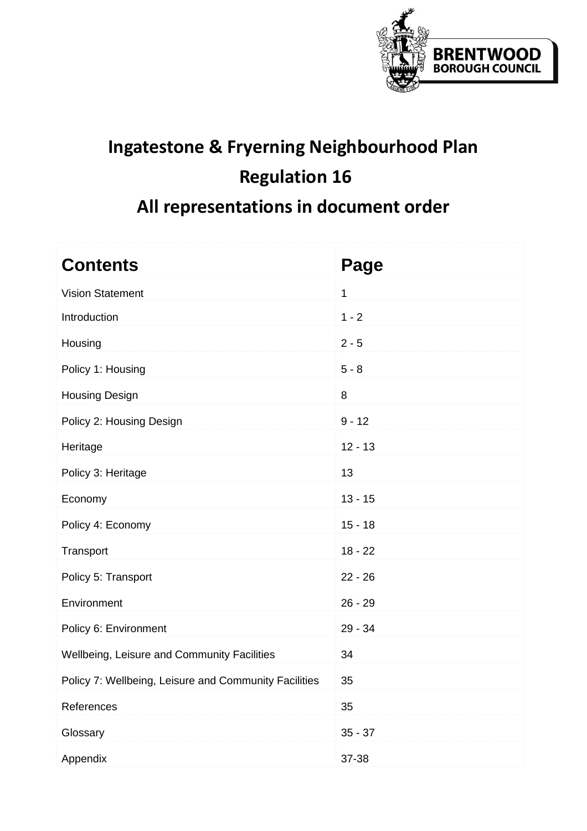

# **Ingatestone & Fryerning Neighbourhood Plan Regulation 16 All representations in document order**

| <b>Contents</b>                                       | Page         |
|-------------------------------------------------------|--------------|
| <b>Vision Statement</b>                               | $\mathbf{1}$ |
| Introduction                                          | $1 - 2$      |
| Housing                                               | $2 - 5$      |
| Policy 1: Housing                                     | $5 - 8$      |
| <b>Housing Design</b>                                 | 8            |
| Policy 2: Housing Design                              | $9 - 12$     |
| Heritage                                              | $12 - 13$    |
| Policy 3: Heritage                                    | 13           |
| Economy                                               | $13 - 15$    |
| Policy 4: Economy                                     | $15 - 18$    |
| Transport                                             | $18 - 22$    |
| Policy 5: Transport                                   | $22 - 26$    |
| Environment                                           | $26 - 29$    |
| Policy 6: Environment                                 | 29 - 34      |
| Wellbeing, Leisure and Community Facilities           | 34           |
| Policy 7: Wellbeing, Leisure and Community Facilities | 35           |
| References                                            | 35           |
| Glossary                                              | $35 - 37$    |
| Appendix                                              | 37-38        |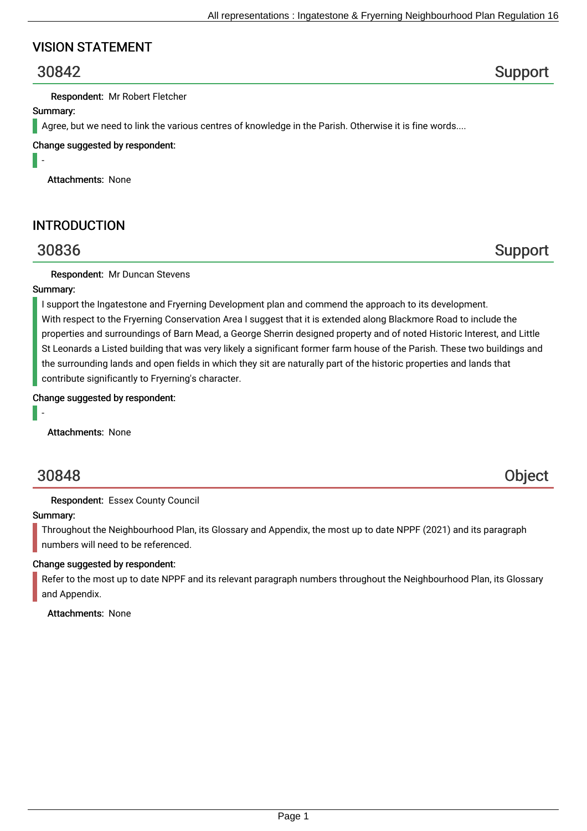## VISION STATEMENT

# 30842 Support

Respondent: Mr Robert Fletcher

#### Summary:

Agree, but we need to link the various centres of knowledge in the Parish. Otherwise it is fine words....

Change suggested by respondent:

-

Attachments: None

## INTRODUCTION

30836 Support

Respondent: Mr Duncan Stevens

### Summary:

I support the Ingatestone and Fryerning Development plan and commend the approach to its development. With respect to the Fryerning Conservation Area I suggest that it is extended along Blackmore Road to include the properties and surroundings of Barn Mead, a George Sherrin designed property and of noted Historic Interest, and Little St Leonards a Listed building that was very likely a significant former farm house of the Parish. These two buildings and the surrounding lands and open fields in which they sit are naturally part of the historic properties and lands that contribute significantly to Fryerning's character.

Change suggested by respondent:

-

Attachments: None

# 30848 Object

Respondent: Essex County Council

#### Summary:

Throughout the Neighbourhood Plan, its Glossary and Appendix, the most up to date NPPF (2021) and its paragraph numbers will need to be referenced.

### Change suggested by respondent:

Refer to the most up to date NPPF and its relevant paragraph numbers throughout the Neighbourhood Plan, its Glossary and Appendix.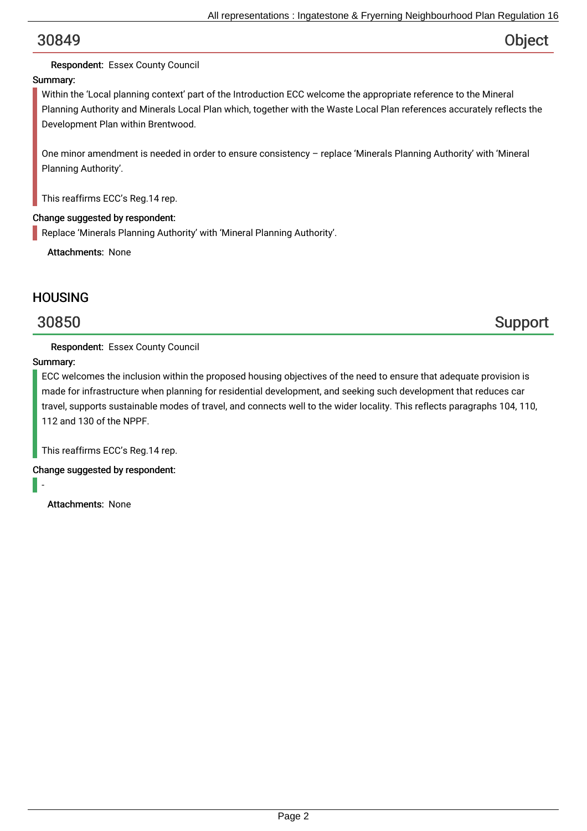### Respondent: Essex County Council

### Summary:

Within the 'Local planning context' part of the Introduction ECC welcome the appropriate reference to the Mineral Planning Authority and Minerals Local Plan which, together with the Waste Local Plan references accurately reflects the Development Plan within Brentwood.

One minor amendment is needed in order to ensure consistency – replace 'Minerals Planning Authority' with 'Mineral Planning Authority'.

This reaffirms ECC's Reg.14 rep.

#### Change suggested by respondent:

Replace 'Minerals Planning Authority' with 'Mineral Planning Authority'.

Attachments: None

## **HOUSING**

# 30850 Support

Respondent: Essex County Council

### Summary:

ECC welcomes the inclusion within the proposed housing objectives of the need to ensure that adequate provision is made for infrastructure when planning for residential development, and seeking such development that reduces car travel, supports sustainable modes of travel, and connects well to the wider locality. This reflects paragraphs 104, 110, 112 and 130 of the NPPF.

This reaffirms ECC's Reg.14 rep.

Change suggested by respondent:

-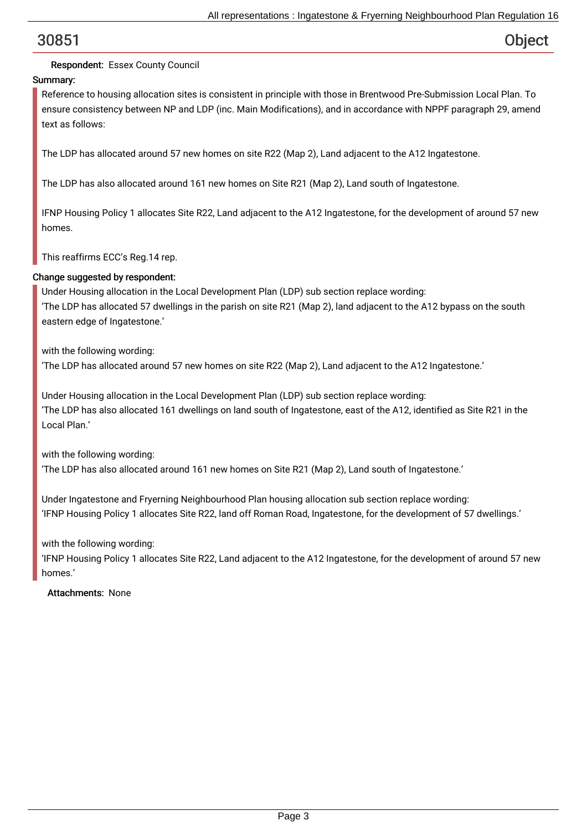## Respondent: Essex County Council

## Summary:

Reference to housing allocation sites is consistent in principle with those in Brentwood Pre-Submission Local Plan. To ensure consistency between NP and LDP (inc. Main Modifications), and in accordance with NPPF paragraph 29, amend text as follows:

The LDP has allocated around 57 new homes on site R22 (Map 2), Land adjacent to the A12 Ingatestone.

The LDP has also allocated around 161 new homes on Site R21 (Map 2), Land south of Ingatestone.

IFNP Housing Policy 1 allocates Site R22, Land adjacent to the A12 Ingatestone, for the development of around 57 new homes.

This reaffirms ECC's Reg.14 rep.

### Change suggested by respondent:

Under Housing allocation in the Local Development Plan (LDP) sub section replace wording: 'The LDP has allocated 57 dwellings in the parish on site R21 (Map 2), land adjacent to the A12 bypass on the south eastern edge of Ingatestone.'

with the following wording: 'The LDP has allocated around 57 new homes on site R22 (Map 2), Land adjacent to the A12 Ingatestone.'

Under Housing allocation in the Local Development Plan (LDP) sub section replace wording: 'The LDP has also allocated 161 dwellings on land south of Ingatestone, east of the A12, identified as Site R21 in the Local Plan.'

with the following wording:

'The LDP has also allocated around 161 new homes on Site R21 (Map 2), Land south of Ingatestone.'

Under Ingatestone and Fryerning Neighbourhood Plan housing allocation sub section replace wording: 'IFNP Housing Policy 1 allocates Site R22, land off Roman Road, Ingatestone, for the development of 57 dwellings.'

with the following wording:

'IFNP Housing Policy 1 allocates Site R22, Land adjacent to the A12 Ingatestone, for the development of around 57 new homes.'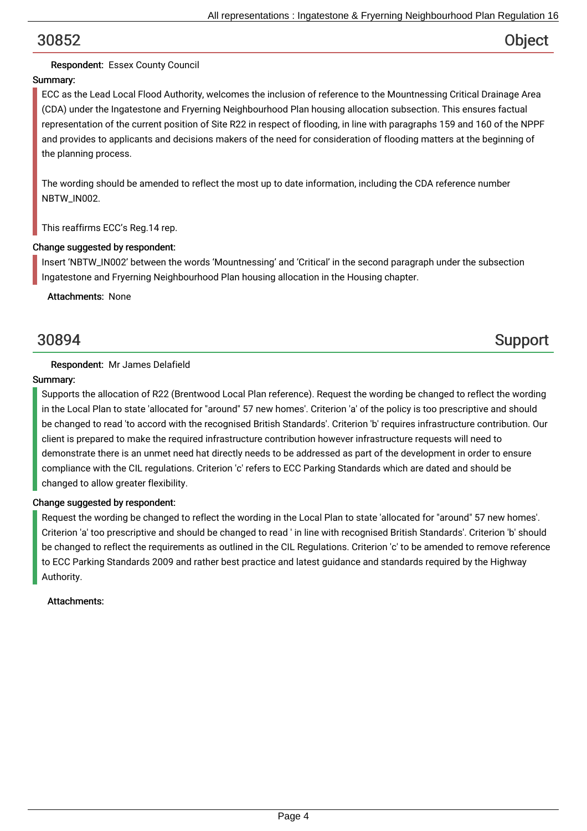## Respondent: Essex County Council

## Summary:

ECC as the Lead Local Flood Authority, welcomes the inclusion of reference to the Mountnessing Critical Drainage Area (CDA) under the Ingatestone and Fryerning Neighbourhood Plan housing allocation subsection. This ensures factual representation of the current position of Site R22 in respect of flooding, in line with paragraphs 159 and 160 of the NPPF and provides to applicants and decisions makers of the need for consideration of flooding matters at the beginning of the planning process.

The wording should be amended to reflect the most up to date information, including the CDA reference number NBTW\_IN002.

This reaffirms ECC's Reg.14 rep.

#### Change suggested by respondent:

Insert 'NBTW\_IN002' between the words 'Mountnessing' and 'Critical' in the second paragraph under the subsection Ingatestone and Fryerning Neighbourhood Plan housing allocation in the Housing chapter.

Attachments: None

# 30894 Support

### Respondent: Mr James Delafield

### Summary:

Supports the allocation of R22 (Brentwood Local Plan reference). Request the wording be changed to reflect the wording in the Local Plan to state 'allocated for "around" 57 new homes'. Criterion 'a' of the policy is too prescriptive and should be changed to read 'to accord with the recognised British Standards'. Criterion 'b' requires infrastructure contribution. Our client is prepared to make the required infrastructure contribution however infrastructure requests will need to demonstrate there is an unmet need hat directly needs to be addressed as part of the development in order to ensure compliance with the CIL regulations. Criterion 'c' refers to ECC Parking Standards which are dated and should be changed to allow greater flexibility.

### Change suggested by respondent:

Request the wording be changed to reflect the wording in the Local Plan to state 'allocated for "around" 57 new homes'. Criterion 'a' too prescriptive and should be changed to read ' in line with recognised British Standards'. Criterion 'b' should be changed to reflect the requirements as outlined in the CIL Regulations. Criterion 'c' to be amended to remove reference to ECC Parking Standards 2009 and rather best practice and latest guidance and standards required by the Highway Authority.

### Attachments: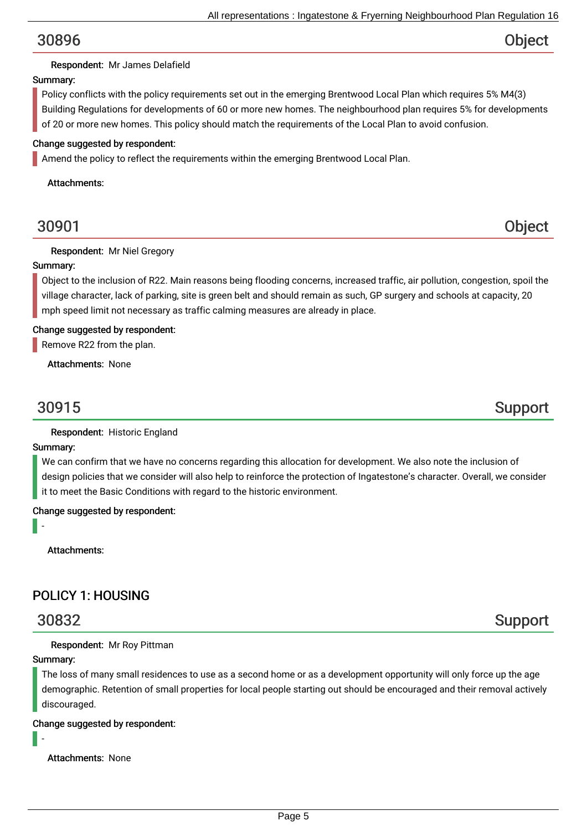### Respondent: Mr James Delafield

#### Summary:

Policy conflicts with the policy requirements set out in the emerging Brentwood Local Plan which requires 5% M4(3) Building Regulations for developments of 60 or more new homes. The neighbourhood plan requires 5% for developments of 20 or more new homes. This policy should match the requirements of the Local Plan to avoid confusion.

#### Change suggested by respondent:

Amend the policy to reflect the requirements within the emerging Brentwood Local Plan.

Attachments:

## 30901 Object

#### Respondent: Mr Niel Gregory

#### Summary:

Object to the inclusion of R22. Main reasons being flooding concerns, increased traffic, air pollution, congestion, spoil the village character, lack of parking, site is green belt and should remain as such, GP surgery and schools at capacity, 20 mph speed limit not necessary as traffic calming measures are already in place.

#### Change suggested by respondent:

Remove R22 from the plan.

Attachments: None

30915 Support

Respondent: Historic England

#### Summary:

-

We can confirm that we have no concerns regarding this allocation for development. We also note the inclusion of design policies that we consider will also help to reinforce the protection of Ingatestone's character. Overall, we consider it to meet the Basic Conditions with regard to the historic environment.

Change suggested by respondent:

Attachments:

## POLICY 1: HOUSING

#### Respondent: Mr Roy Pittman

#### Summary:

The loss of many small residences to use as a second home or as a development opportunity will only force up the age demographic. Retention of small properties for local people starting out should be encouraged and their removal actively discouraged.

#### Change suggested by respondent:

-

Attachments: None

# 30832 Support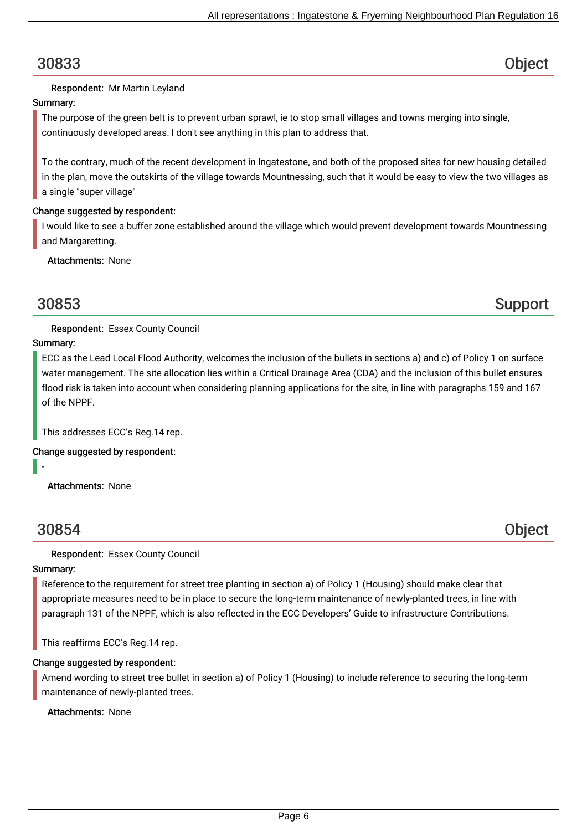#### Respondent: Mr Martin Leyland

#### Summary:

The purpose of the green belt is to prevent urban sprawl, ie to stop small villages and towns merging into single, continuously developed areas. I don't see anything in this plan to address that.

To the contrary, much of the recent development in Ingatestone, and both of the proposed sites for new housing detailed in the plan, move the outskirts of the village towards Mountnessing, such that it would be easy to view the two villages as a single "super village"

#### Change suggested by respondent:

I would like to see a buffer zone established around the village which would prevent development towards Mountnessing and Margaretting.

Attachments: None

30853 Support

### Respondent: Essex County Council

#### Summary:

ECC as the Lead Local Flood Authority, welcomes the inclusion of the bullets in sections a) and c) of Policy 1 on surface water management. The site allocation lies within a Critical Drainage Area (CDA) and the inclusion of this bullet ensures flood risk is taken into account when considering planning applications for the site, in line with paragraphs 159 and 167 of the NPPF.

This addresses ECC's Reg.14 rep.

Change suggested by respondent:

Attachments: None

## 30854 Object

-

Respondent: Essex County Council

#### Summary:

Reference to the requirement for street tree planting in section a) of Policy 1 (Housing) should make clear that appropriate measures need to be in place to secure the long-term maintenance of newly-planted trees, in line with paragraph 131 of the NPPF, which is also reflected in the ECC Developers' Guide to infrastructure Contributions.

This reaffirms ECC's Reg.14 rep.

#### Change suggested by respondent:

Amend wording to street tree bullet in section a) of Policy 1 (Housing) to include reference to securing the long-term maintenance of newly-planted trees.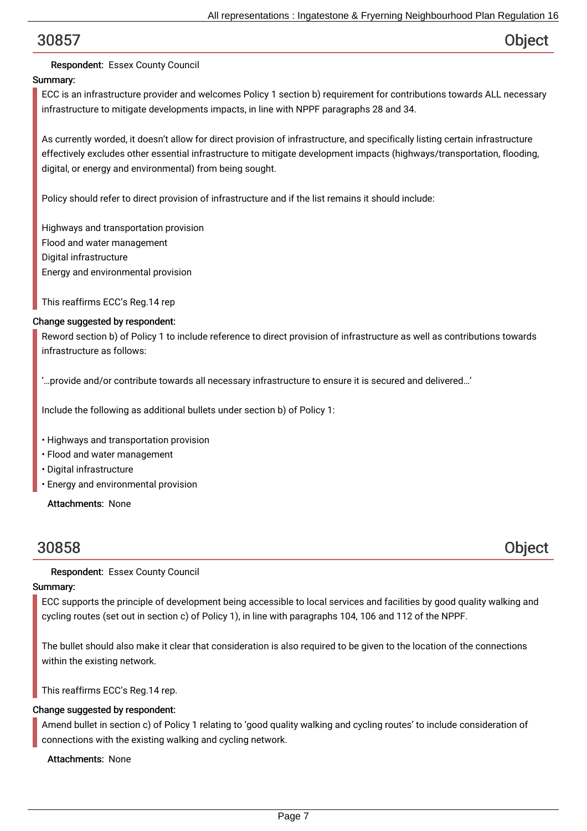## Respondent: Essex County Council

## Summary:

ECC is an infrastructure provider and welcomes Policy 1 section b) requirement for contributions towards ALL necessary infrastructure to mitigate developments impacts, in line with NPPF paragraphs 28 and 34.

As currently worded, it doesn't allow for direct provision of infrastructure, and specifically listing certain infrastructure effectively excludes other essential infrastructure to mitigate development impacts (highways/transportation, flooding, digital, or energy and environmental) from being sought.

Policy should refer to direct provision of infrastructure and if the list remains it should include:

Highways and transportation provision Flood and water management Digital infrastructure Energy and environmental provision

This reaffirms ECC's Reg.14 rep

#### Change suggested by respondent:

Reword section b) of Policy 1 to include reference to direct provision of infrastructure as well as contributions towards infrastructure as follows:

'…provide and/or contribute towards all necessary infrastructure to ensure it is secured and delivered…'

Include the following as additional bullets under section b) of Policy 1:

- Highways and transportation provision
- Flood and water management
- Digital infrastructure
- Energy and environmental provision

Attachments: None

30858 Object

Respondent: Essex County Council

### Summary:

ECC supports the principle of development being accessible to local services and facilities by good quality walking and cycling routes (set out in section c) of Policy 1), in line with paragraphs 104, 106 and 112 of the NPPF.

The bullet should also make it clear that consideration is also required to be given to the location of the connections within the existing network.

This reaffirms ECC's Reg.14 rep.

#### Change suggested by respondent:

Amend bullet in section c) of Policy 1 relating to 'good quality walking and cycling routes' to include consideration of connections with the existing walking and cycling network.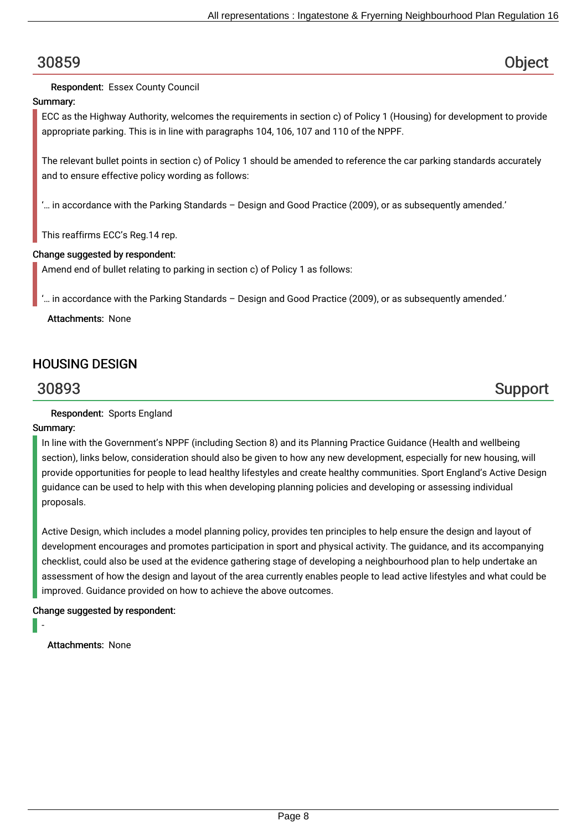Respondent: Essex County Council

#### Summary:

ECC as the Highway Authority, welcomes the requirements in section c) of Policy 1 (Housing) for development to provide appropriate parking. This is in line with paragraphs 104, 106, 107 and 110 of the NPPF.

The relevant bullet points in section c) of Policy 1 should be amended to reference the car parking standards accurately and to ensure effective policy wording as follows:

'… in accordance with the Parking Standards – Design and Good Practice (2009), or as subsequently amended.'

This reaffirms ECC's Reg.14 rep.

### Change suggested by respondent:

Amend end of bullet relating to parking in section c) of Policy 1 as follows:

'… in accordance with the Parking Standards – Design and Good Practice (2009), or as subsequently amended.'

Attachments: None

## HOUSING DESIGN

# 30893 Support

Respondent: Sports England

### Summary:

In line with the Government's NPPF (including Section 8) and its Planning Practice Guidance (Health and wellbeing section), links below, consideration should also be given to how any new development, especially for new housing, will provide opportunities for people to lead healthy lifestyles and create healthy communities. Sport England's Active Design guidance can be used to help with this when developing planning policies and developing or assessing individual proposals.

Active Design, which includes a model planning policy, provides ten principles to help ensure the design and layout of development encourages and promotes participation in sport and physical activity. The guidance, and its accompanying checklist, could also be used at the evidence gathering stage of developing a neighbourhood plan to help undertake an assessment of how the design and layout of the area currently enables people to lead active lifestyles and what could be improved. Guidance provided on how to achieve the above outcomes.

### Change suggested by respondent:

-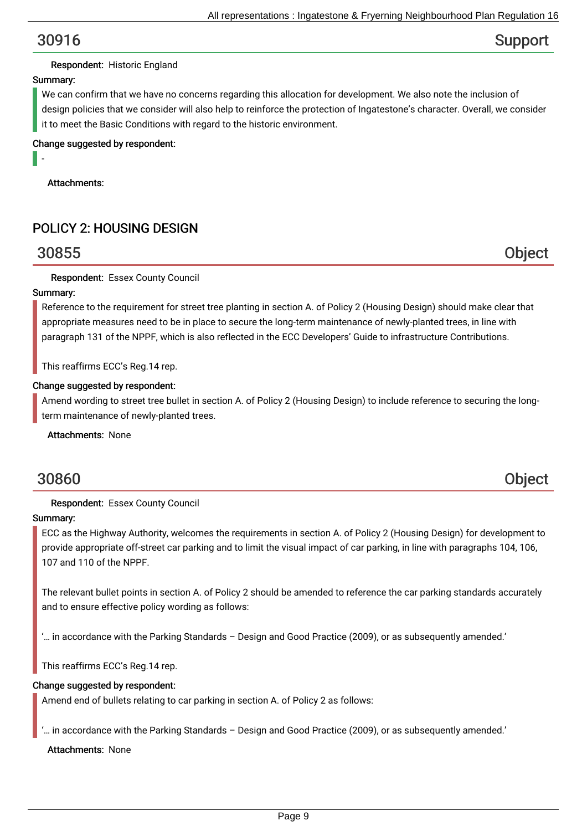# 30916 Support

#### Respondent: Historic England

#### Summary:

-

We can confirm that we have no concerns regarding this allocation for development. We also note the inclusion of design policies that we consider will also help to reinforce the protection of Ingatestone's character. Overall, we consider it to meet the Basic Conditions with regard to the historic environment.

Change suggested by respondent:

Attachments:

## POLICY 2: HOUSING DESIGN

## 30855 Object

Respondent: Essex County Council

#### Summary:

Reference to the requirement for street tree planting in section A. of Policy 2 (Housing Design) should make clear that appropriate measures need to be in place to secure the long-term maintenance of newly-planted trees, in line with paragraph 131 of the NPPF, which is also reflected in the ECC Developers' Guide to infrastructure Contributions.

This reaffirms ECC's Reg.14 rep.

#### Change suggested by respondent:

Amend wording to street tree bullet in section A. of Policy 2 (Housing Design) to include reference to securing the longterm maintenance of newly-planted trees.

Attachments: None

## 30860 Object

#### Respondent: Essex County Council

#### Summary:

ECC as the Highway Authority, welcomes the requirements in section A. of Policy 2 (Housing Design) for development to provide appropriate off-street car parking and to limit the visual impact of car parking, in line with paragraphs 104, 106, 107 and 110 of the NPPF.

The relevant bullet points in section A. of Policy 2 should be amended to reference the car parking standards accurately and to ensure effective policy wording as follows:

'… in accordance with the Parking Standards – Design and Good Practice (2009), or as subsequently amended.'

This reaffirms ECC's Reg.14 rep.

#### Change suggested by respondent:

Amend end of bullets relating to car parking in section A. of Policy 2 as follows:

'… in accordance with the Parking Standards – Design and Good Practice (2009), or as subsequently amended.'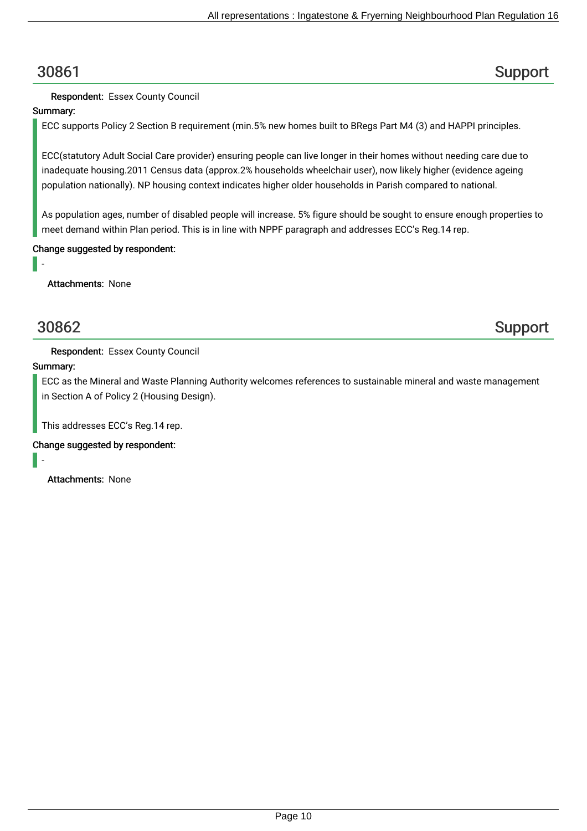# 30861 Support

## Respondent: Essex County Council

## Summary:

ECC supports Policy 2 Section B requirement (min.5% new homes built to BRegs Part M4 (3) and HAPPI principles.

ECC(statutory Adult Social Care provider) ensuring people can live longer in their homes without needing care due to inadequate housing.2011 Census data (approx.2% households wheelchair user), now likely higher (evidence ageing population nationally). NP housing context indicates higher older households in Parish compared to national.

As population ages, number of disabled people will increase. 5% figure should be sought to ensure enough properties to meet demand within Plan period. This is in line with NPPF paragraph and addresses ECC's Reg.14 rep.

## Change suggested by respondent:

Attachments: None

-

# 30862 Support

Respondent: Essex County Council

### Summary:

ECC as the Mineral and Waste Planning Authority welcomes references to sustainable mineral and waste management in Section A of Policy 2 (Housing Design).

This addresses ECC's Reg.14 rep.

### Change suggested by respondent:

-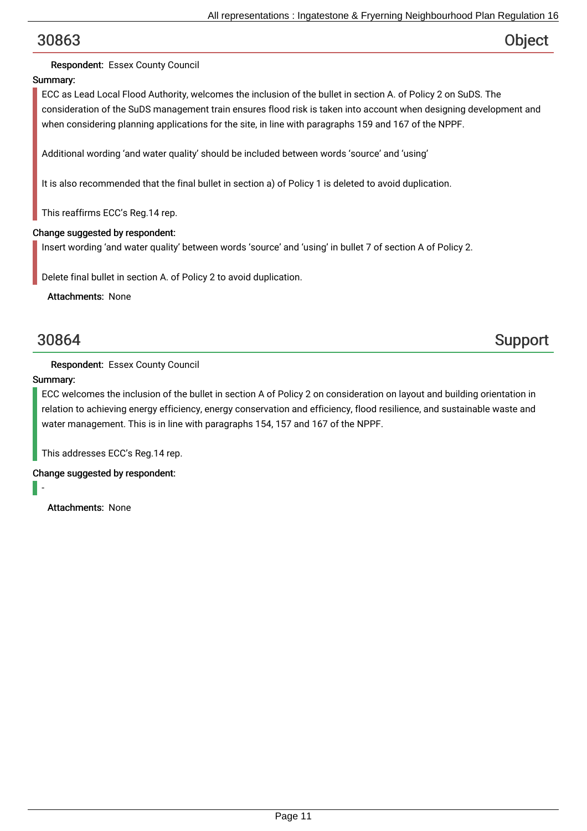## Respondent: Essex County Council

## Summary:

ECC as Lead Local Flood Authority, welcomes the inclusion of the bullet in section A. of Policy 2 on SuDS. The consideration of the SuDS management train ensures flood risk is taken into account when designing development and when considering planning applications for the site, in line with paragraphs 159 and 167 of the NPPF.

Additional wording 'and water quality' should be included between words 'source' and 'using'

It is also recommended that the final bullet in section a) of Policy 1 is deleted to avoid duplication.

This reaffirms ECC's Reg.14 rep.

### Change suggested by respondent:

Insert wording 'and water quality' between words 'source' and 'using' in bullet 7 of section A of Policy 2.

Delete final bullet in section A. of Policy 2 to avoid duplication.

Attachments: None

30864 Support

### Respondent: Essex County Council

### Summary:

ECC welcomes the inclusion of the bullet in section A of Policy 2 on consideration on layout and building orientation in relation to achieving energy efficiency, energy conservation and efficiency, flood resilience, and sustainable waste and water management. This is in line with paragraphs 154, 157 and 167 of the NPPF.

This addresses ECC's Reg.14 rep.

Change suggested by respondent:

-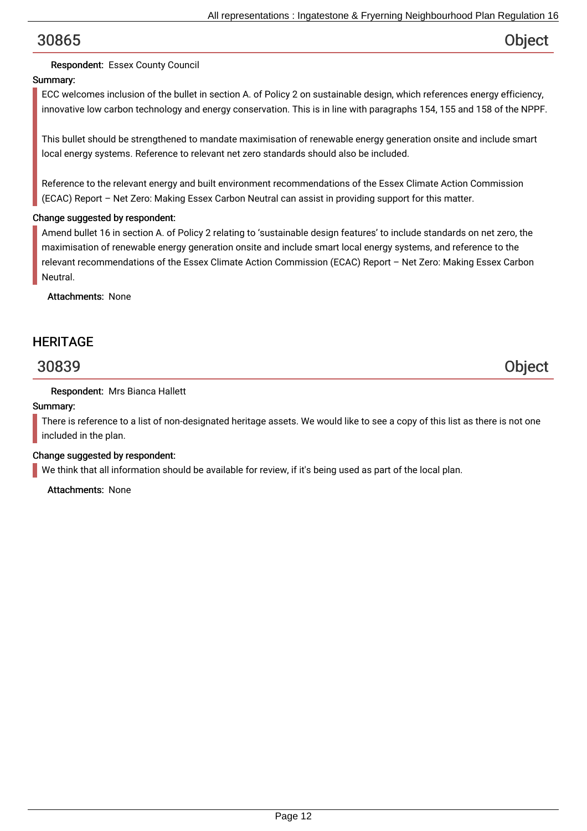## Respondent: Essex County Council

## Summary:

ECC welcomes inclusion of the bullet in section A. of Policy 2 on sustainable design, which references energy efficiency, innovative low carbon technology and energy conservation. This is in line with paragraphs 154, 155 and 158 of the NPPF.

This bullet should be strengthened to mandate maximisation of renewable energy generation onsite and include smart local energy systems. Reference to relevant net zero standards should also be included.

Reference to the relevant energy and built environment recommendations of the Essex Climate Action Commission (ECAC) Report – Net Zero: Making Essex Carbon Neutral can assist in providing support for this matter.

### Change suggested by respondent:

Amend bullet 16 in section A. of Policy 2 relating to 'sustainable design features' to include standards on net zero, the maximisation of renewable energy generation onsite and include smart local energy systems, and reference to the relevant recommendations of the Essex Climate Action Commission (ECAC) Report – Net Zero: Making Essex Carbon Neutral.

Attachments: None

## **HERITAGE**

30839 Object

### Respondent: Mrs Bianca Hallett

#### Summary:

There is reference to a list of non-designated heritage assets. We would like to see a copy of this list as there is not one included in the plan.

### Change suggested by respondent:

We think that all information should be available for review, if it's being used as part of the local plan.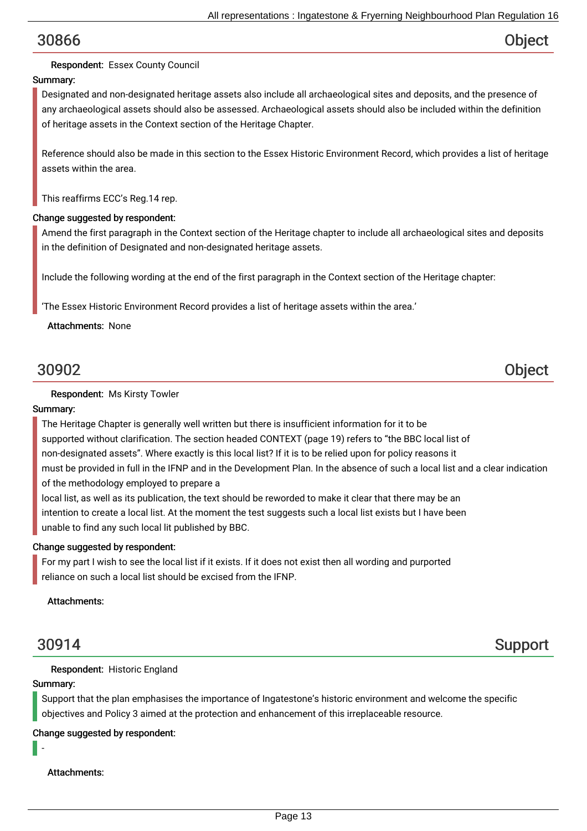## Respondent: Essex County Council

## Summary:

Designated and non-designated heritage assets also include all archaeological sites and deposits, and the presence of any archaeological assets should also be assessed. Archaeological assets should also be included within the definition of heritage assets in the Context section of the Heritage Chapter.

Reference should also be made in this section to the Essex Historic Environment Record, which provides a list of heritage assets within the area.

This reaffirms ECC's Reg.14 rep.

#### Change suggested by respondent:

Amend the first paragraph in the Context section of the Heritage chapter to include all archaeological sites and deposits in the definition of Designated and non-designated heritage assets.

Include the following wording at the end of the first paragraph in the Context section of the Heritage chapter:

'The Essex Historic Environment Record provides a list of heritage assets within the area.'

Attachments: None

# 30902 Object

#### Respondent: Ms Kirsty Towler

#### Summary:

The Heritage Chapter is generally well written but there is insufficient information for it to be supported without clarification. The section headed CONTEXT (page 19) refers to "the BBC local list of non-designated assets". Where exactly is this local list? If it is to be relied upon for policy reasons it must be provided in full in the IFNP and in the Development Plan. In the absence of such a local list and a clear indication of the methodology employed to prepare a

local list, as well as its publication, the text should be reworded to make it clear that there may be an intention to create a local list. At the moment the test suggests such a local list exists but I have been unable to find any such local lit published by BBC.

#### Change suggested by respondent:

For my part I wish to see the local list if it exists. If it does not exist then all wording and purported reliance on such a local list should be excised from the IFNP.

Attachments:

30914 Support

Respondent: Historic England

#### Summary:

-

Support that the plan emphasises the importance of Ingatestone's historic environment and welcome the specific objectives and Policy 3 aimed at the protection and enhancement of this irreplaceable resource.

Change suggested by respondent:

Attachments: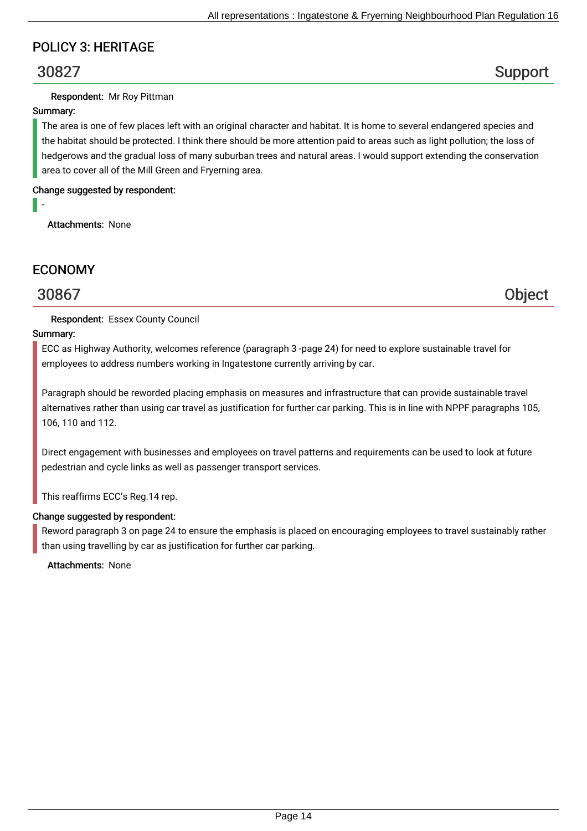## POLICY 3: HERITAGE

# 30827 Support

### Respondent: Mr Roy Pittman

### Summary:

-

The area is one of few places left with an original character and habitat. It is home to several endangered species and the habitat should be protected. I think there should be more attention paid to areas such as light pollution; the loss of hedgerows and the gradual loss of many suburban trees and natural areas. I would support extending the conservation area to cover all of the Mill Green and Fryerning area.

Change suggested by respondent:

Attachments: None

## ECONOMY

## 30867 Object

### Respondent: Essex County Council

### Summary:

ECC as Highway Authority, welcomes reference (paragraph 3 -page 24) for need to explore sustainable travel for employees to address numbers working in Ingatestone currently arriving by car.

Paragraph should be reworded placing emphasis on measures and infrastructure that can provide sustainable travel alternatives rather than using car travel as justification for further car parking. This is in line with NPPF paragraphs 105, 106, 110 and 112.

Direct engagement with businesses and employees on travel patterns and requirements can be used to look at future pedestrian and cycle links as well as passenger transport services.

This reaffirms ECC's Reg.14 rep.

### Change suggested by respondent:

Reword paragraph 3 on page 24 to ensure the emphasis is placed on encouraging employees to travel sustainably rather than using travelling by car as justification for further car parking.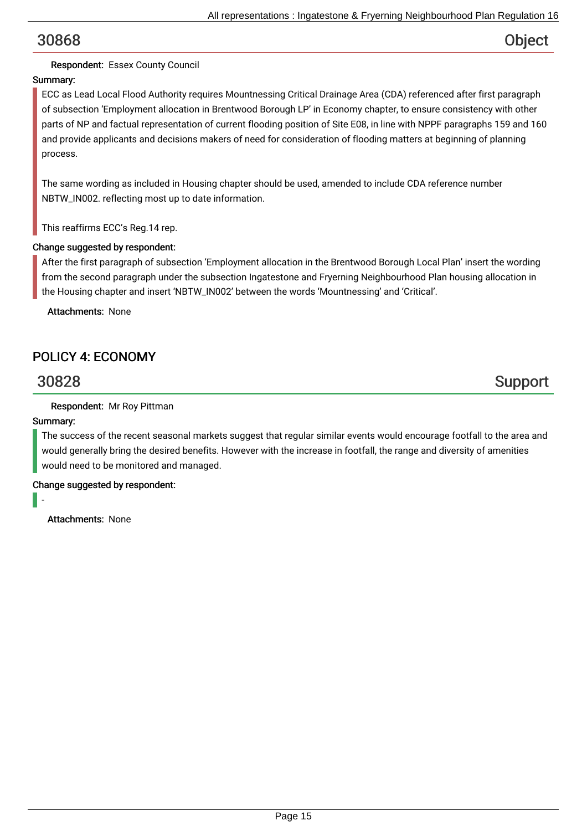## Respondent: Essex County Council

## Summary:

ECC as Lead Local Flood Authority requires Mountnessing Critical Drainage Area (CDA) referenced after first paragraph of subsection 'Employment allocation in Brentwood Borough LP' in Economy chapter, to ensure consistency with other parts of NP and factual representation of current flooding position of Site E08, in line with NPPF paragraphs 159 and 160 and provide applicants and decisions makers of need for consideration of flooding matters at beginning of planning process.

The same wording as included in Housing chapter should be used, amended to include CDA reference number NBTW\_IN002. reflecting most up to date information.

This reaffirms ECC's Reg.14 rep.

### Change suggested by respondent:

After the first paragraph of subsection 'Employment allocation in the Brentwood Borough Local Plan' insert the wording from the second paragraph under the subsection Ingatestone and Fryerning Neighbourhood Plan housing allocation in the Housing chapter and insert 'NBTW\_IN002' between the words 'Mountnessing' and 'Critical'.

Attachments: None

## POLICY 4: ECONOMY

# 30828 Support

### Respondent: Mr Roy Pittman

### Summary:

The success of the recent seasonal markets suggest that regular similar events would encourage footfall to the area and would generally bring the desired benefits. However with the increase in footfall, the range and diversity of amenities would need to be monitored and managed.

Change suggested by respondent:

-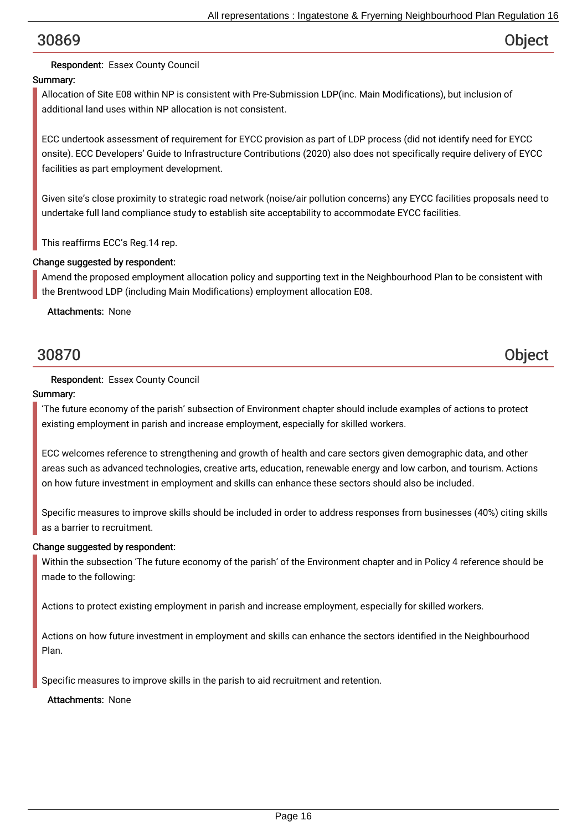## Respondent: Essex County Council

## Summary:

Allocation of Site E08 within NP is consistent with Pre-Submission LDP(inc. Main Modifications), but inclusion of additional land uses within NP allocation is not consistent.

ECC undertook assessment of requirement for EYCC provision as part of LDP process (did not identify need for EYCC onsite). ECC Developers' Guide to Infrastructure Contributions (2020) also does not specifically require delivery of EYCC facilities as part employment development.

Given site's close proximity to strategic road network (noise/air pollution concerns) any EYCC facilities proposals need to undertake full land compliance study to establish site acceptability to accommodate EYCC facilities.

This reaffirms ECC's Reg.14 rep.

### Change suggested by respondent:

Amend the proposed employment allocation policy and supporting text in the Neighbourhood Plan to be consistent with the Brentwood LDP (including Main Modifications) employment allocation E08.

Attachments: None

30870 Object

### Respondent: Essex County Council

#### Summary:

'The future economy of the parish' subsection of Environment chapter should include examples of actions to protect existing employment in parish and increase employment, especially for skilled workers.

ECC welcomes reference to strengthening and growth of health and care sectors given demographic data, and other areas such as advanced technologies, creative arts, education, renewable energy and low carbon, and tourism. Actions on how future investment in employment and skills can enhance these sectors should also be included.

Specific measures to improve skills should be included in order to address responses from businesses (40%) citing skills as a barrier to recruitment.

### Change suggested by respondent:

Within the subsection 'The future economy of the parish' of the Environment chapter and in Policy 4 reference should be made to the following:

Actions to protect existing employment in parish and increase employment, especially for skilled workers.

Actions on how future investment in employment and skills can enhance the sectors identified in the Neighbourhood Plan.

Specific measures to improve skills in the parish to aid recruitment and retention.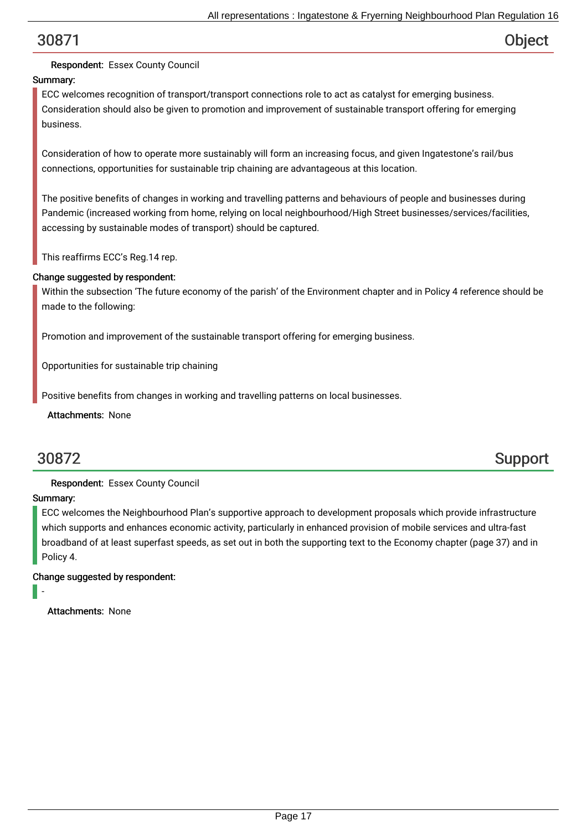### Respondent: Essex County Council

### Summary:

ECC welcomes recognition of transport/transport connections role to act as catalyst for emerging business. Consideration should also be given to promotion and improvement of sustainable transport offering for emerging business.

Consideration of how to operate more sustainably will form an increasing focus, and given Ingatestone's rail/bus connections, opportunities for sustainable trip chaining are advantageous at this location.

The positive benefits of changes in working and travelling patterns and behaviours of people and businesses during Pandemic (increased working from home, relying on local neighbourhood/High Street businesses/services/facilities, accessing by sustainable modes of transport) should be captured.

This reaffirms ECC's Reg.14 rep.

#### Change suggested by respondent:

Within the subsection 'The future economy of the parish' of the Environment chapter and in Policy 4 reference should be made to the following:

Promotion and improvement of the sustainable transport offering for emerging business.

Opportunities for sustainable trip chaining

Positive benefits from changes in working and travelling patterns on local businesses.

Attachments: None

# 30872 Support

### Respondent: Essex County Council

### Summary:

-

ECC welcomes the Neighbourhood Plan's supportive approach to development proposals which provide infrastructure which supports and enhances economic activity, particularly in enhanced provision of mobile services and ultra-fast broadband of at least superfast speeds, as set out in both the supporting text to the Economy chapter (page 37) and in Policy 4.

#### Change suggested by respondent: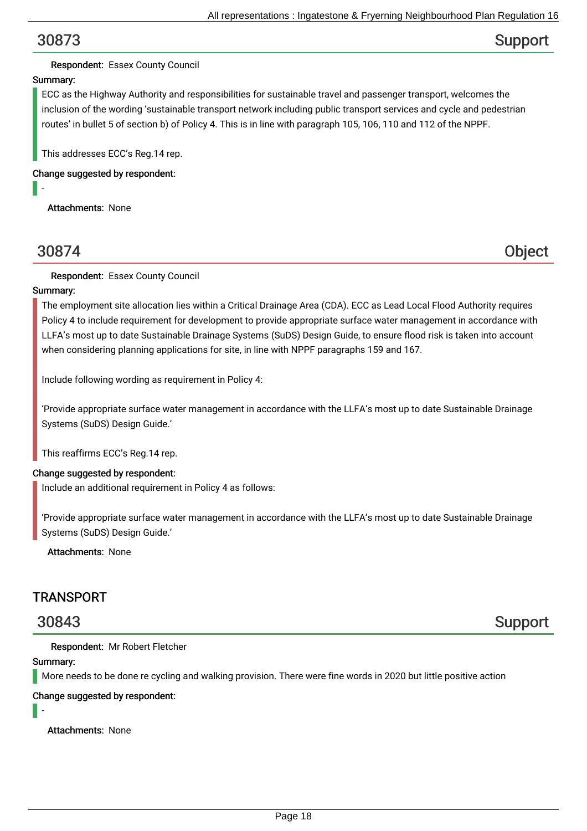# 30873 Support

### Respondent: Essex County Council

### Summary:

ECC as the Highway Authority and responsibilities for sustainable travel and passenger transport, welcomes the inclusion of the wording 'sustainable transport network including public transport services and cycle and pedestrian routes' in bullet 5 of section b) of Policy 4. This is in line with paragraph 105, 106, 110 and 112 of the NPPF.

This addresses ECC's Reg.14 rep.

Change suggested by respondent:

Attachments: None

-

# 30874 Object

Respondent: Essex County Council

### Summary:

The employment site allocation lies within a Critical Drainage Area (CDA). ECC as Lead Local Flood Authority requires Policy 4 to include requirement for development to provide appropriate surface water management in accordance with LLFA's most up to date Sustainable Drainage Systems (SuDS) Design Guide, to ensure flood risk is taken into account when considering planning applications for site, in line with NPPF paragraphs 159 and 167.

Include following wording as requirement in Policy 4:

'Provide appropriate surface water management in accordance with the LLFA's most up to date Sustainable Drainage Systems (SuDS) Design Guide.'

This reaffirms ECC's Reg.14 rep.

### Change suggested by respondent:

Include an additional requirement in Policy 4 as follows:

'Provide appropriate surface water management in accordance with the LLFA's most up to date Sustainable Drainage Systems (SuDS) Design Guide.'

Attachments: None

## **TRANSPORT**

30843 Support

Respondent: Mr Robert Fletcher

### Summary:

More needs to be done re cycling and walking provision. There were fine words in 2020 but little positive action

Change suggested by respondent:

-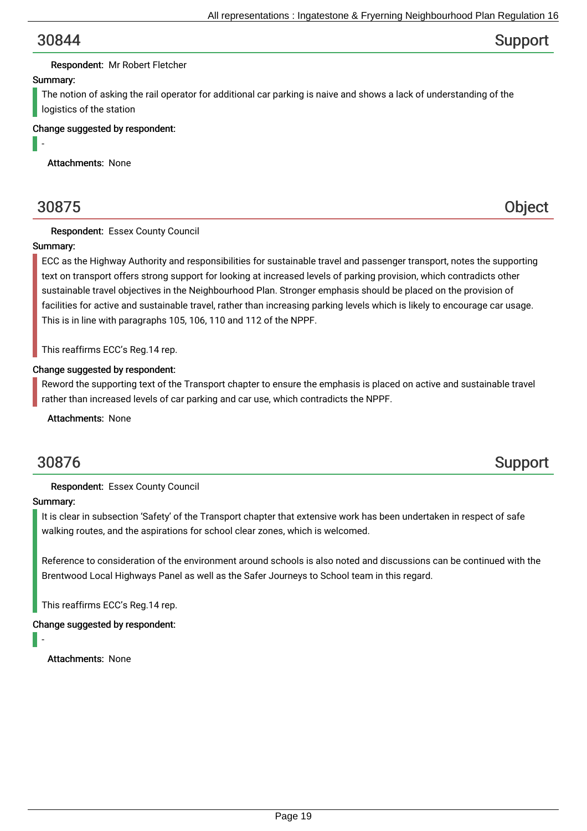## 30844 Support

#### Respondent: Mr Robert Fletcher

#### Summary:

-

The notion of asking the rail operator for additional car parking is naive and shows a lack of understanding of the logistics of the station

Change suggested by respondent:

Attachments: None

30875 Object

### Respondent: Essex County Council

#### Summary:

ECC as the Highway Authority and responsibilities for sustainable travel and passenger transport, notes the supporting text on transport offers strong support for looking at increased levels of parking provision, which contradicts other sustainable travel objectives in the Neighbourhood Plan. Stronger emphasis should be placed on the provision of facilities for active and sustainable travel, rather than increasing parking levels which is likely to encourage car usage. This is in line with paragraphs 105, 106, 110 and 112 of the NPPF.

This reaffirms ECC's Reg.14 rep.

#### Change suggested by respondent:

Reword the supporting text of the Transport chapter to ensure the emphasis is placed on active and sustainable travel rather than increased levels of car parking and car use, which contradicts the NPPF.

Attachments: None

# 30876 Support

### Respondent: Essex County Council

#### Summary:

-

It is clear in subsection 'Safety' of the Transport chapter that extensive work has been undertaken in respect of safe walking routes, and the aspirations for school clear zones, which is welcomed.

Reference to consideration of the environment around schools is also noted and discussions can be continued with the Brentwood Local Highways Panel as well as the Safer Journeys to School team in this regard.

This reaffirms ECC's Reg.14 rep.

#### Change suggested by respondent: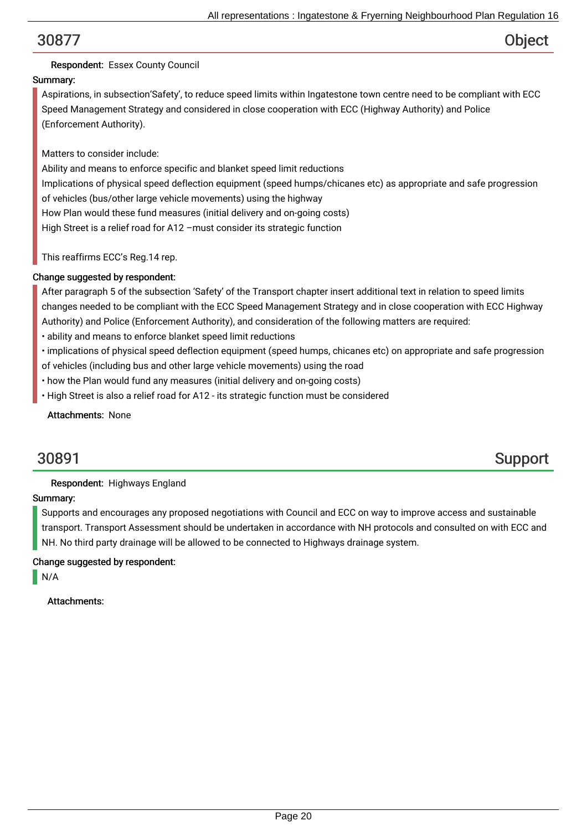## Respondent: Essex County Council

## Summary:

Aspirations, in subsection'Safety', to reduce speed limits within Ingatestone town centre need to be compliant with ECC Speed Management Strategy and considered in close cooperation with ECC (Highway Authority) and Police (Enforcement Authority).

Matters to consider include:

Ability and means to enforce specific and blanket speed limit reductions Implications of physical speed deflection equipment (speed humps/chicanes etc) as appropriate and safe progression of vehicles (bus/other large vehicle movements) using the highway How Plan would these fund measures (initial delivery and on-going costs) High Street is a relief road for A12 –must consider its strategic function

This reaffirms ECC's Reg.14 rep.

### Change suggested by respondent:

After paragraph 5 of the subsection 'Safety' of the Transport chapter insert additional text in relation to speed limits changes needed to be compliant with the ECC Speed Management Strategy and in close cooperation with ECC Highway Authority) and Police (Enforcement Authority), and consideration of the following matters are required:

- ability and means to enforce blanket speed limit reductions
- implications of physical speed deflection equipment (speed humps, chicanes etc) on appropriate and safe progression of vehicles (including bus and other large vehicle movements) using the road
- how the Plan would fund any measures (initial delivery and on-going costs)
- High Street is also a relief road for A12 its strategic function must be considered

Attachments: None

# 30891 Support

### Respondent: Highways England

### Summary:

Supports and encourages any proposed negotiations with Council and ECC on way to improve access and sustainable transport. Transport Assessment should be undertaken in accordance with NH protocols and consulted on with ECC and NH. No third party drainage will be allowed to be connected to Highways drainage system.

### Change suggested by respondent:

N/A

Attachments: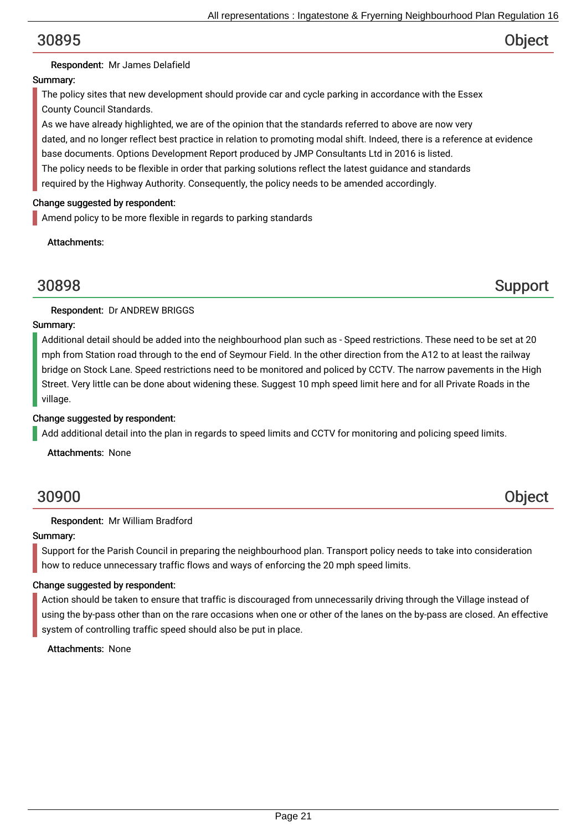### Respondent: Mr James Delafield

### Summary:

The policy sites that new development should provide car and cycle parking in accordance with the Essex County Council Standards.

As we have already highlighted, we are of the opinion that the standards referred to above are now very dated, and no longer reflect best practice in relation to promoting modal shift. Indeed, there is a reference at evidence base documents. Options Development Report produced by JMP Consultants Ltd in 2016 is listed. The policy needs to be flexible in order that parking solutions reflect the latest guidance and standards required by the Highway Authority. Consequently, the policy needs to be amended accordingly.

#### Change suggested by respondent:

Amend policy to be more flexible in regards to parking standards

Attachments:

30898 Support

### Respondent: Dr ANDREW BRIGGS

#### Summary:

Additional detail should be added into the neighbourhood plan such as - Speed restrictions. These need to be set at 20 mph from Station road through to the end of Seymour Field. In the other direction from the A12 to at least the railway bridge on Stock Lane. Speed restrictions need to be monitored and policed by CCTV. The narrow pavements in the High Street. Very little can be done about widening these. Suggest 10 mph speed limit here and for all Private Roads in the village.

#### Change suggested by respondent:

Add additional detail into the plan in regards to speed limits and CCTV for monitoring and policing speed limits.

Attachments: None

## 30900 Object

### Respondent: Mr William Bradford

### Summary:

Support for the Parish Council in preparing the neighbourhood plan. Transport policy needs to take into consideration how to reduce unnecessary traffic flows and ways of enforcing the 20 mph speed limits.

### Change suggested by respondent:

Action should be taken to ensure that traffic is discouraged from unnecessarily driving through the Village instead of using the by-pass other than on the rare occasions when one or other of the lanes on the by-pass are closed. An effective system of controlling traffic speed should also be put in place.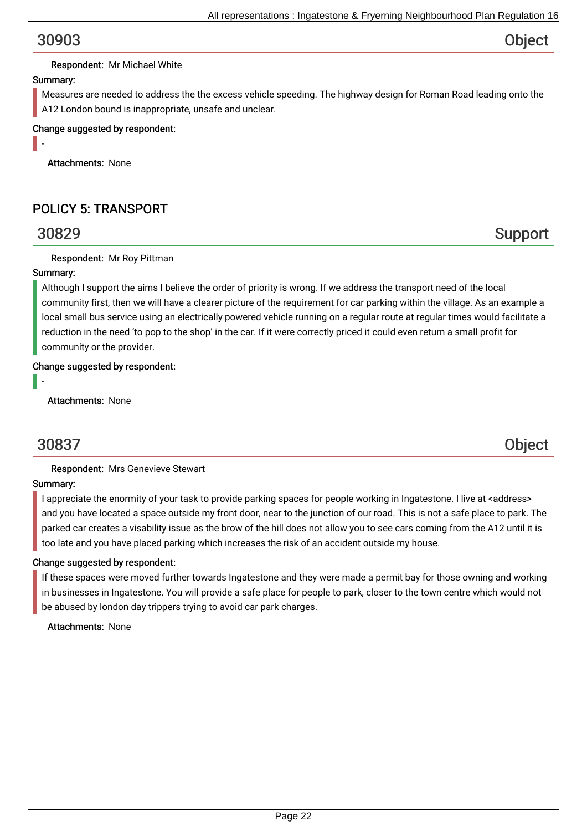### Respondent: Mr Michael White

#### Summary:

-

Measures are needed to address the the excess vehicle speeding. The highway design for Roman Road leading onto the A12 London bound is inappropriate, unsafe and unclear.

#### Change suggested by respondent:

Attachments: None

# POLICY 5: TRANSPORT

### Respondent: Mr Roy Pittman

#### Summary:

Although I support the aims I believe the order of priority is wrong. If we address the transport need of the local community first, then we will have a clearer picture of the requirement for car parking within the village. As an example a local small bus service using an electrically powered vehicle running on a regular route at regular times would facilitate a reduction in the need 'to pop to the shop' in the car. If it were correctly priced it could even return a small profit for community or the provider.

#### Change suggested by respondent:

Attachments: None

# 30837 Object

-

Respondent: Mrs Genevieve Stewart

#### Summary:

I appreciate the enormity of your task to provide parking spaces for people working in Ingatestone. I live at <address> and you have located a space outside my front door, near to the junction of our road. This is not a safe place to park. The parked car creates a visability issue as the brow of the hill does not allow you to see cars coming from the A12 until it is too late and you have placed parking which increases the risk of an accident outside my house.

#### Change suggested by respondent:

If these spaces were moved further towards Ingatestone and they were made a permit bay for those owning and working in businesses in Ingatestone. You will provide a safe place for people to park, closer to the town centre which would not be abused by london day trippers trying to avoid car park charges.

Attachments: None

30829 Support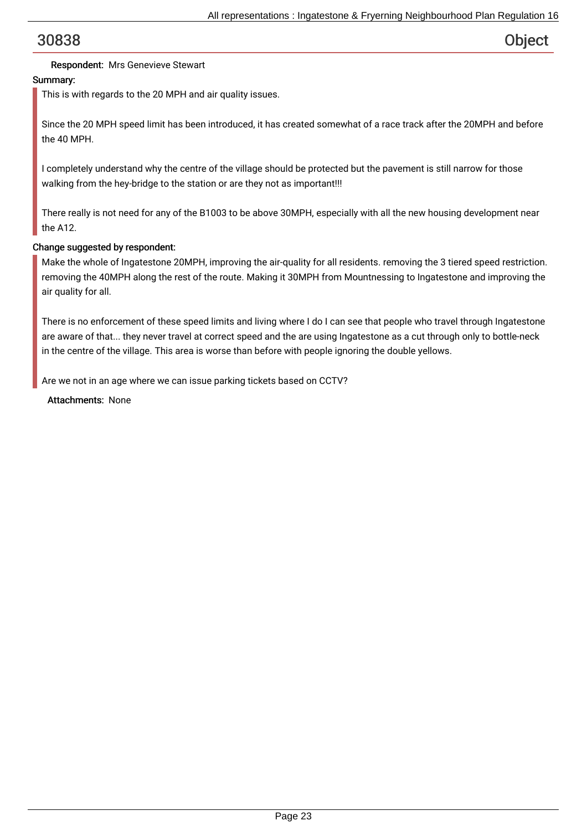### Respondent: Mrs Genevieve Stewart

### Summary:

This is with regards to the 20 MPH and air quality issues.

Since the 20 MPH speed limit has been introduced, it has created somewhat of a race track after the 20MPH and before the 40 MPH.

I completely understand why the centre of the village should be protected but the pavement is still narrow for those walking from the hey-bridge to the station or are they not as important!!!

There really is not need for any of the B1003 to be above 30MPH, especially with all the new housing development near the A12.

#### Change suggested by respondent:

Make the whole of Ingatestone 20MPH, improving the air-quality for all residents. removing the 3 tiered speed restriction. removing the 40MPH along the rest of the route. Making it 30MPH from Mountnessing to Ingatestone and improving the air quality for all.

There is no enforcement of these speed limits and living where I do I can see that people who travel through Ingatestone are aware of that... they never travel at correct speed and the are using Ingatestone as a cut through only to bottle-neck in the centre of the village. This area is worse than before with people ignoring the double yellows.

Are we not in an age where we can issue parking tickets based on CCTV?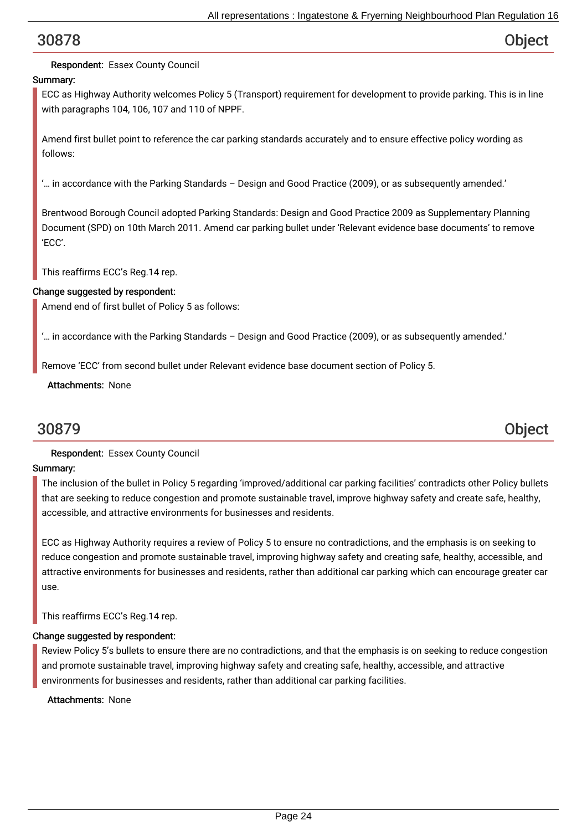## Respondent: Essex County Council

## Summary:

ECC as Highway Authority welcomes Policy 5 (Transport) requirement for development to provide parking. This is in line with paragraphs 104, 106, 107 and 110 of NPPF.

Amend first bullet point to reference the car parking standards accurately and to ensure effective policy wording as follows:

'… in accordance with the Parking Standards – Design and Good Practice (2009), or as subsequently amended.'

Brentwood Borough Council adopted Parking Standards: Design and Good Practice 2009 as Supplementary Planning Document (SPD) on 10th March 2011. Amend car parking bullet under 'Relevant evidence base documents' to remove 'ECC'.

This reaffirms ECC's Reg.14 rep.

#### Change suggested by respondent:

Amend end of first bullet of Policy 5 as follows:

'… in accordance with the Parking Standards – Design and Good Practice (2009), or as subsequently amended.'

Remove 'ECC' from second bullet under Relevant evidence base document section of Policy 5.

Attachments: None

# 30879 Object

### Respondent: Essex County Council

### Summary:

The inclusion of the bullet in Policy 5 regarding 'improved/additional car parking facilities' contradicts other Policy bullets that are seeking to reduce congestion and promote sustainable travel, improve highway safety and create safe, healthy, accessible, and attractive environments for businesses and residents.

ECC as Highway Authority requires a review of Policy 5 to ensure no contradictions, and the emphasis is on seeking to reduce congestion and promote sustainable travel, improving highway safety and creating safe, healthy, accessible, and attractive environments for businesses and residents, rather than additional car parking which can encourage greater car use.

This reaffirms ECC's Reg.14 rep.

#### Change suggested by respondent:

Review Policy 5's bullets to ensure there are no contradictions, and that the emphasis is on seeking to reduce congestion and promote sustainable travel, improving highway safety and creating safe, healthy, accessible, and attractive environments for businesses and residents, rather than additional car parking facilities.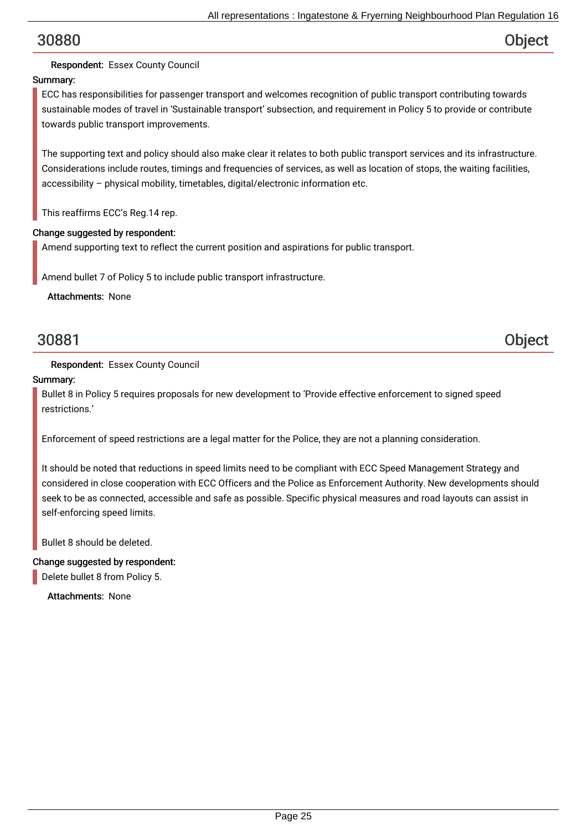## Respondent: Essex County Council

## Summary:

ECC has responsibilities for passenger transport and welcomes recognition of public transport contributing towards sustainable modes of travel in 'Sustainable transport' subsection, and requirement in Policy 5 to provide or contribute towards public transport improvements.

The supporting text and policy should also make clear it relates to both public transport services and its infrastructure. Considerations include routes, timings and frequencies of services, as well as location of stops, the waiting facilities, accessibility – physical mobility, timetables, digital/electronic information etc.

This reaffirms ECC's Reg.14 rep.

#### Change suggested by respondent:

Amend supporting text to reflect the current position and aspirations for public transport.

Amend bullet 7 of Policy 5 to include public transport infrastructure.

Attachments: None

# 30881 Object

### Respondent: Essex County Council

#### Summary:

Bullet 8 in Policy 5 requires proposals for new development to 'Provide effective enforcement to signed speed restrictions.'

Enforcement of speed restrictions are a legal matter for the Police, they are not a planning consideration.

It should be noted that reductions in speed limits need to be compliant with ECC Speed Management Strategy and considered in close cooperation with ECC Officers and the Police as Enforcement Authority. New developments should seek to be as connected, accessible and safe as possible. Specific physical measures and road layouts can assist in self-enforcing speed limits.

Bullet 8 should be deleted.

### Change suggested by respondent:

Delete bullet 8 from Policy 5.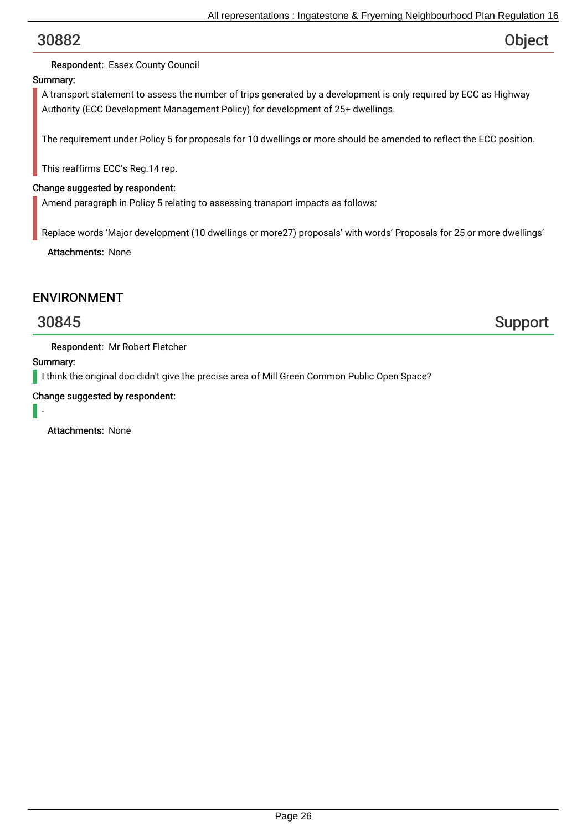## Respondent: Essex County Council

## Summary:

A transport statement to assess the number of trips generated by a development is only required by ECC as Highway Authority (ECC Development Management Policy) for development of 25+ dwellings.

The requirement under Policy 5 for proposals for 10 dwellings or more should be amended to reflect the ECC position.

This reaffirms ECC's Reg.14 rep.

### Change suggested by respondent:

Amend paragraph in Policy 5 relating to assessing transport impacts as follows:

Replace words 'Major development (10 dwellings or more27) proposals' with words' Proposals for 25 or more dwellings'

Attachments: None

## ENVIRONMENT

30845 Support

Respondent: Mr Robert Fletcher

Summary:

I think the original doc didn't give the precise area of Mill Green Common Public Open Space?

Change suggested by respondent:

-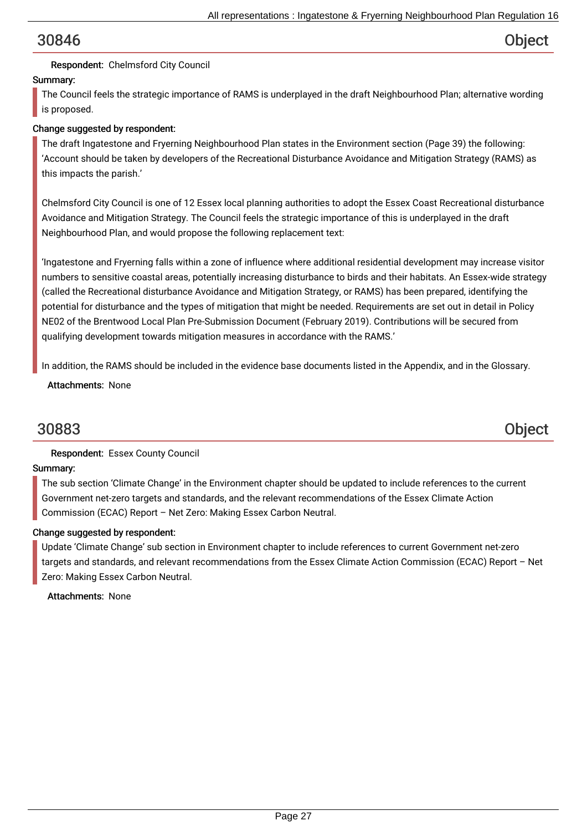### Respondent: Chelmsford City Council

### Summary:

The Council feels the strategic importance of RAMS is underplayed in the draft Neighbourhood Plan; alternative wording is proposed.

### Change suggested by respondent:

The draft Ingatestone and Fryerning Neighbourhood Plan states in the Environment section (Page 39) the following: 'Account should be taken by developers of the Recreational Disturbance Avoidance and Mitigation Strategy (RAMS) as this impacts the parish.'

Chelmsford City Council is one of 12 Essex local planning authorities to adopt the Essex Coast Recreational disturbance Avoidance and Mitigation Strategy. The Council feels the strategic importance of this is underplayed in the draft Neighbourhood Plan, and would propose the following replacement text:

'Ingatestone and Fryerning falls within a zone of influence where additional residential development may increase visitor numbers to sensitive coastal areas, potentially increasing disturbance to birds and their habitats. An Essex-wide strategy (called the Recreational disturbance Avoidance and Mitigation Strategy, or RAMS) has been prepared, identifying the potential for disturbance and the types of mitigation that might be needed. Requirements are set out in detail in Policy NE02 of the Brentwood Local Plan Pre-Submission Document (February 2019). Contributions will be secured from qualifying development towards mitigation measures in accordance with the RAMS.'

In addition, the RAMS should be included in the evidence base documents listed in the Appendix, and in the Glossary.

Attachments: None

# 30883 Object

### Respondent: Essex County Council

### Summary:

The sub section 'Climate Change' in the Environment chapter should be updated to include references to the current Government net-zero targets and standards, and the relevant recommendations of the Essex Climate Action Commission (ECAC) Report – Net Zero: Making Essex Carbon Neutral.

### Change suggested by respondent:

Update 'Climate Change' sub section in Environment chapter to include references to current Government net-zero targets and standards, and relevant recommendations from the Essex Climate Action Commission (ECAC) Report – Net Zero: Making Essex Carbon Neutral.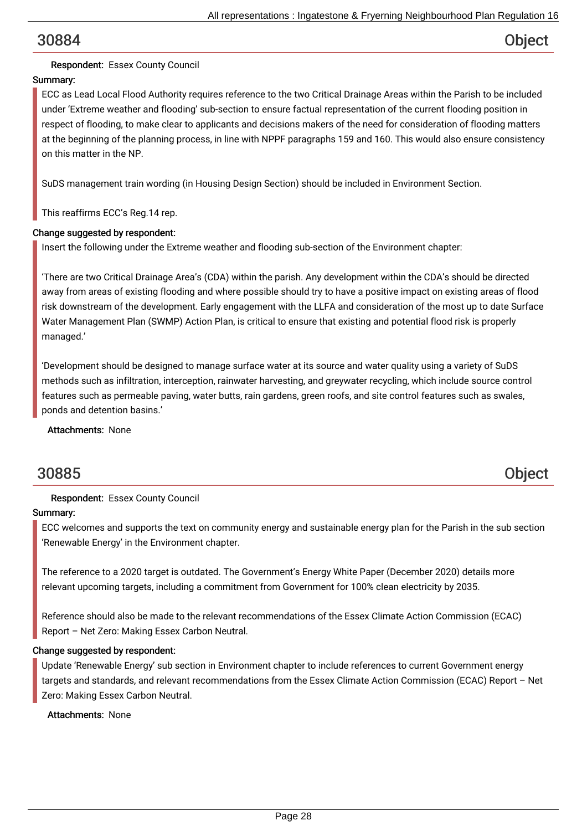## Respondent: Essex County Council

## Summary:

ECC as Lead Local Flood Authority requires reference to the two Critical Drainage Areas within the Parish to be included under 'Extreme weather and flooding' sub-section to ensure factual representation of the current flooding position in respect of flooding, to make clear to applicants and decisions makers of the need for consideration of flooding matters at the beginning of the planning process, in line with NPPF paragraphs 159 and 160. This would also ensure consistency on this matter in the NP.

SuDS management train wording (in Housing Design Section) should be included in Environment Section.

This reaffirms ECC's Reg.14 rep.

#### Change suggested by respondent:

Insert the following under the Extreme weather and flooding sub-section of the Environment chapter:

'There are two Critical Drainage Area's (CDA) within the parish. Any development within the CDA's should be directed away from areas of existing flooding and where possible should try to have a positive impact on existing areas of flood risk downstream of the development. Early engagement with the LLFA and consideration of the most up to date Surface Water Management Plan (SWMP) Action Plan, is critical to ensure that existing and potential flood risk is properly managed.'

'Development should be designed to manage surface water at its source and water quality using a variety of SuDS methods such as infiltration, interception, rainwater harvesting, and greywater recycling, which include source control features such as permeable paving, water butts, rain gardens, green roofs, and site control features such as swales, ponds and detention basins.'

Attachments: None

## 30885 Object

### Respondent: Essex County Council

#### Summary:

ECC welcomes and supports the text on community energy and sustainable energy plan for the Parish in the sub section 'Renewable Energy' in the Environment chapter.

The reference to a 2020 target is outdated. The Government's Energy White Paper (December 2020) details more relevant upcoming targets, including a commitment from Government for 100% clean electricity by 2035.

Reference should also be made to the relevant recommendations of the Essex Climate Action Commission (ECAC) Report – Net Zero: Making Essex Carbon Neutral.

#### Change suggested by respondent:

Update 'Renewable Energy' sub section in Environment chapter to include references to current Government energy targets and standards, and relevant recommendations from the Essex Climate Action Commission (ECAC) Report – Net Zero: Making Essex Carbon Neutral.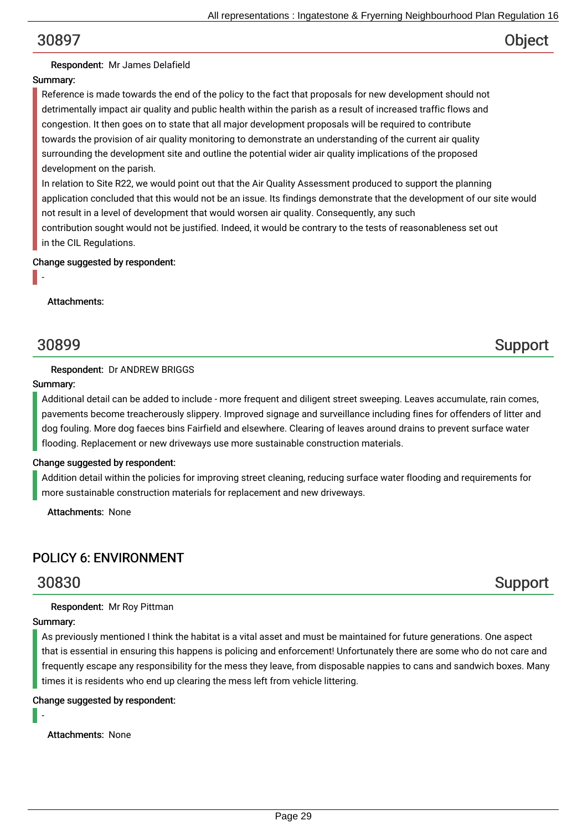#### Respondent: Mr James Delafield

#### Summary:

Reference is made towards the end of the policy to the fact that proposals for new development should not detrimentally impact air quality and public health within the parish as a result of increased traffic flows and congestion. It then goes on to state that all major development proposals will be required to contribute towards the provision of air quality monitoring to demonstrate an understanding of the current air quality surrounding the development site and outline the potential wider air quality implications of the proposed development on the parish.

In relation to Site R22, we would point out that the Air Quality Assessment produced to support the planning application concluded that this would not be an issue. Its findings demonstrate that the development of our site would not result in a level of development that would worsen air quality. Consequently, any such contribution sought would not be justified. Indeed, it would be contrary to the tests of reasonableness set out

in the CIL Regulations.

#### Change suggested by respondent:

#### Attachments:

-

#### Respondent: Dr ANDREW BRIGGS

#### Summary:

Additional detail can be added to include - more frequent and diligent street sweeping. Leaves accumulate, rain comes, pavements become treacherously slippery. Improved signage and surveillance including fines for offenders of litter and dog fouling. More dog faeces bins Fairfield and elsewhere. Clearing of leaves around drains to prevent surface water flooding. Replacement or new driveways use more sustainable construction materials.

### Change suggested by respondent:

Addition detail within the policies for improving street cleaning, reducing surface water flooding and requirements for more sustainable construction materials for replacement and new driveways.

Attachments: None

## POLICY 6: ENVIRONMENT

#### Respondent: Mr Roy Pittman

#### Summary:

-

As previously mentioned I think the habitat is a vital asset and must be maintained for future generations. One aspect that is essential in ensuring this happens is policing and enforcement! Unfortunately there are some who do not care and frequently escape any responsibility for the mess they leave, from disposable nappies to cans and sandwich boxes. Many times it is residents who end up clearing the mess left from vehicle littering.

#### Change suggested by respondent:

Attachments: None

# 30830 Support

# 30899 Support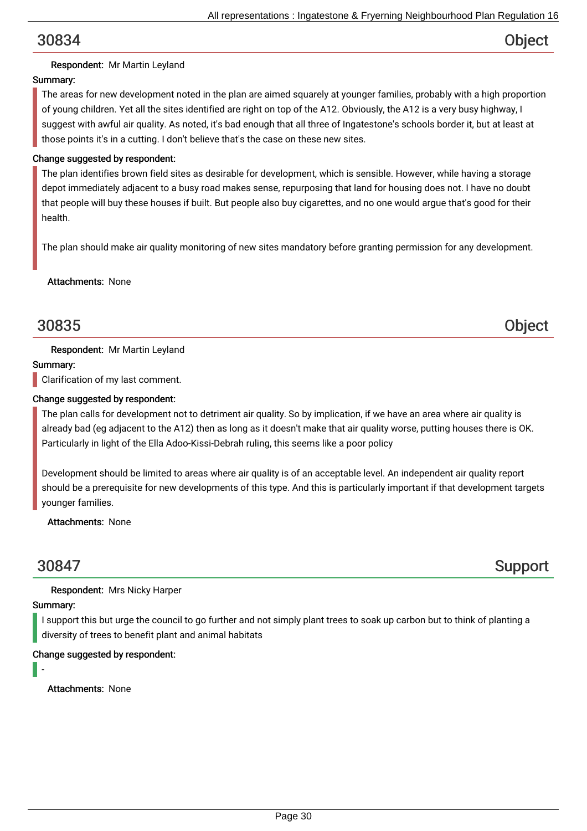## Respondent: Mr Martin Leyland

## Summary:

The areas for new development noted in the plan are aimed squarely at younger families, probably with a high proportion of young children. Yet all the sites identified are right on top of the A12. Obviously, the A12 is a very busy highway, I suggest with awful air quality. As noted, it's bad enough that all three of Ingatestone's schools border it, but at least at those points it's in a cutting. I don't believe that's the case on these new sites.

### Change suggested by respondent:

The plan identifies brown field sites as desirable for development, which is sensible. However, while having a storage depot immediately adjacent to a busy road makes sense, repurposing that land for housing does not. I have no doubt that people will buy these houses if built. But people also buy cigarettes, and no one would argue that's good for their health.

The plan should make air quality monitoring of new sites mandatory before granting permission for any development.

### Attachments: None

# 30835 Object

### Respondent: Mr Martin Leyland

### Summary:

Clarification of my last comment.

#### Change suggested by respondent:

The plan calls for development not to detriment air quality. So by implication, if we have an area where air quality is already bad (eg adjacent to the A12) then as long as it doesn't make that air quality worse, putting houses there is OK. Particularly in light of the Ella Adoo-Kissi-Debrah ruling, this seems like a poor policy

Development should be limited to areas where air quality is of an acceptable level. An independent air quality report should be a prerequisite for new developments of this type. And this is particularly important if that development targets younger families.

Attachments: None

# 30847 Support

Respondent: Mrs Nicky Harper

### Summary:

I support this but urge the council to go further and not simply plant trees to soak up carbon but to think of planting a diversity of trees to benefit plant and animal habitats

### Change suggested by respondent:

-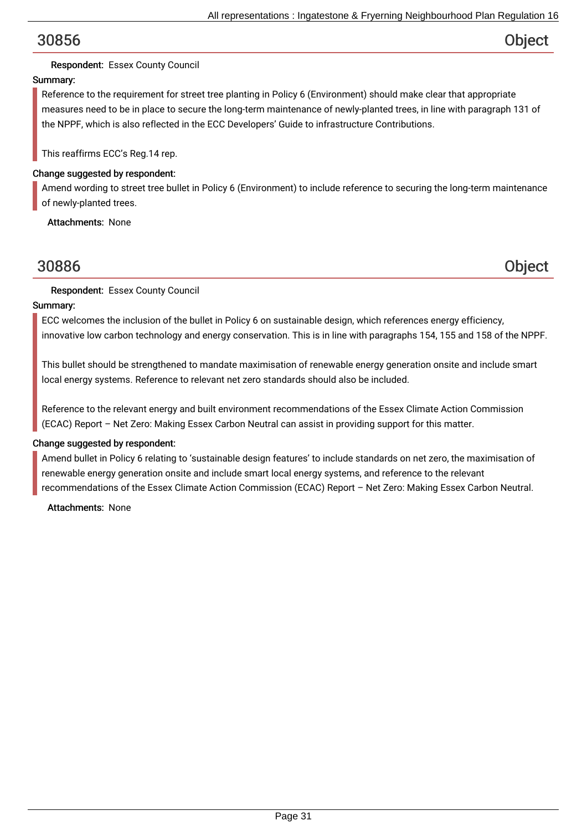## Respondent: Essex County Council

## Summary:

Reference to the requirement for street tree planting in Policy 6 (Environment) should make clear that appropriate measures need to be in place to secure the long-term maintenance of newly-planted trees, in line with paragraph 131 of the NPPF, which is also reflected in the ECC Developers' Guide to infrastructure Contributions.

This reaffirms ECC's Reg.14 rep.

### Change suggested by respondent:

Amend wording to street tree bullet in Policy 6 (Environment) to include reference to securing the long-term maintenance of newly-planted trees.

Attachments: None

## 30886 Object

Respondent: Essex County Council

### Summary:

ECC welcomes the inclusion of the bullet in Policy 6 on sustainable design, which references energy efficiency, innovative low carbon technology and energy conservation. This is in line with paragraphs 154, 155 and 158 of the NPPF.

This bullet should be strengthened to mandate maximisation of renewable energy generation onsite and include smart local energy systems. Reference to relevant net zero standards should also be included.

Reference to the relevant energy and built environment recommendations of the Essex Climate Action Commission (ECAC) Report – Net Zero: Making Essex Carbon Neutral can assist in providing support for this matter.

### Change suggested by respondent:

Amend bullet in Policy 6 relating to 'sustainable design features' to include standards on net zero, the maximisation of renewable energy generation onsite and include smart local energy systems, and reference to the relevant recommendations of the Essex Climate Action Commission (ECAC) Report – Net Zero: Making Essex Carbon Neutral.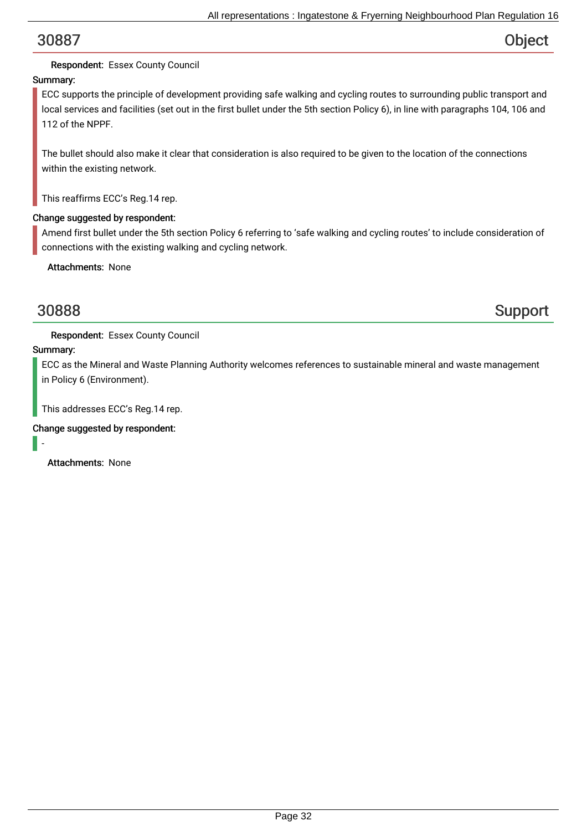## Respondent: Essex County Council

## Summary:

ECC supports the principle of development providing safe walking and cycling routes to surrounding public transport and local services and facilities (set out in the first bullet under the 5th section Policy 6), in line with paragraphs 104, 106 and 112 of the NPPF.

The bullet should also make it clear that consideration is also required to be given to the location of the connections within the existing network.

This reaffirms ECC's Reg.14 rep.

#### Change suggested by respondent:

Amend first bullet under the 5th section Policy 6 referring to 'safe walking and cycling routes' to include consideration of connections with the existing walking and cycling network.

Attachments: None

30888 Support

Respondent: Essex County Council

### Summary:

ECC as the Mineral and Waste Planning Authority welcomes references to sustainable mineral and waste management in Policy 6 (Environment).

This addresses ECC's Reg.14 rep.

### Change suggested by respondent:

-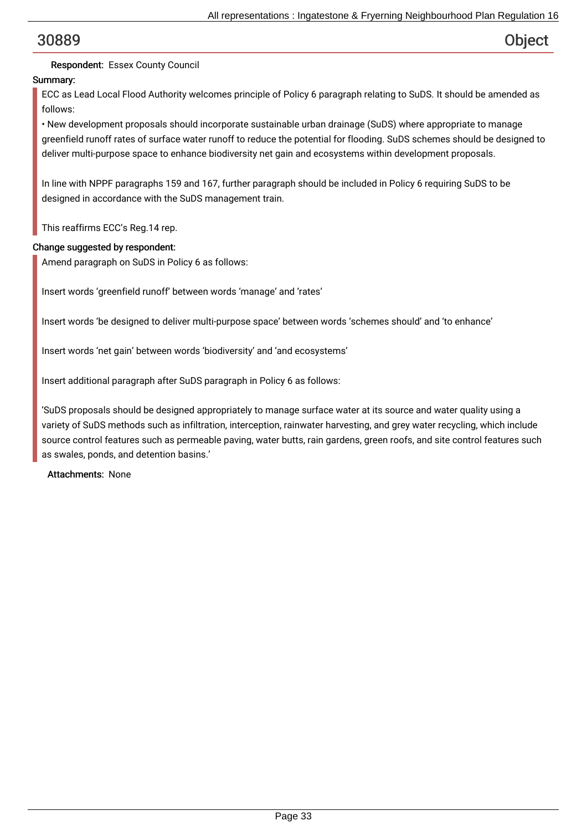## Respondent: Essex County Council

## Summary:

ECC as Lead Local Flood Authority welcomes principle of Policy 6 paragraph relating to SuDS. It should be amended as follows:

• New development proposals should incorporate sustainable urban drainage (SuDS) where appropriate to manage greenfield runoff rates of surface water runoff to reduce the potential for flooding. SuDS schemes should be designed to deliver multi-purpose space to enhance biodiversity net gain and ecosystems within development proposals.

In line with NPPF paragraphs 159 and 167, further paragraph should be included in Policy 6 requiring SuDS to be designed in accordance with the SuDS management train.

This reaffirms ECC's Reg.14 rep.

### Change suggested by respondent:

Amend paragraph on SuDS in Policy 6 as follows:

Insert words 'greenfield runoff' between words 'manage' and 'rates'

Insert words 'be designed to deliver multi-purpose space' between words 'schemes should' and 'to enhance'

Insert words 'net gain' between words 'biodiversity' and 'and ecosystems'

Insert additional paragraph after SuDS paragraph in Policy 6 as follows:

'SuDS proposals should be designed appropriately to manage surface water at its source and water quality using a variety of SuDS methods such as infiltration, interception, rainwater harvesting, and grey water recycling, which include source control features such as permeable paving, water butts, rain gardens, green roofs, and site control features such as swales, ponds, and detention basins.'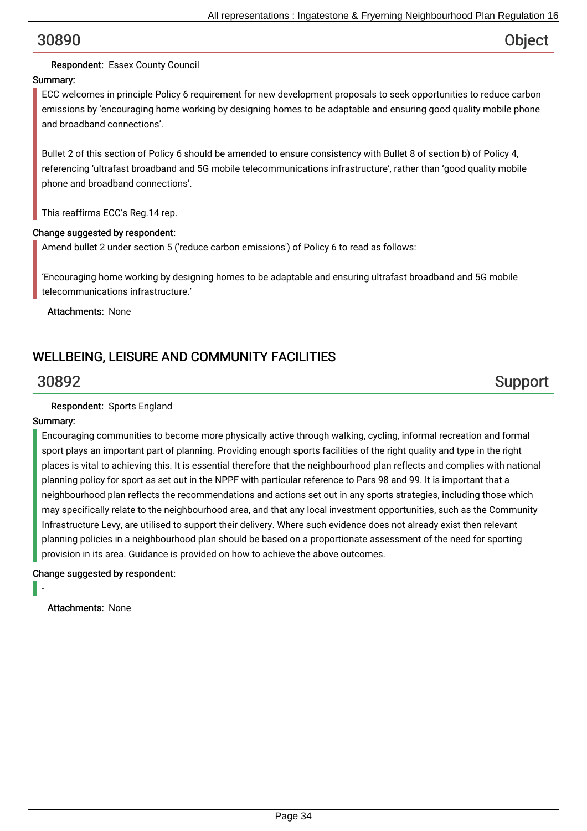### Respondent: Essex County Council

### Summary:

ECC welcomes in principle Policy 6 requirement for new development proposals to seek opportunities to reduce carbon emissions by 'encouraging home working by designing homes to be adaptable and ensuring good quality mobile phone and broadband connections'.

Bullet 2 of this section of Policy 6 should be amended to ensure consistency with Bullet 8 of section b) of Policy 4, referencing 'ultrafast broadband and 5G mobile telecommunications infrastructure', rather than 'good quality mobile phone and broadband connections'.

This reaffirms ECC's Reg.14 rep.

#### Change suggested by respondent:

Amend bullet 2 under section 5 ('reduce carbon emissions') of Policy 6 to read as follows:

'Encouraging home working by designing homes to be adaptable and ensuring ultrafast broadband and 5G mobile telecommunications infrastructure.'

Attachments: None

## WELLBEING, LEISURE AND COMMUNITY FACILITIES

30892 Support

#### Respondent: Sports England

#### Summary:

Encouraging communities to become more physically active through walking, cycling, informal recreation and formal sport plays an important part of planning. Providing enough sports facilities of the right quality and type in the right places is vital to achieving this. It is essential therefore that the neighbourhood plan reflects and complies with national planning policy for sport as set out in the NPPF with particular reference to Pars 98 and 99. It is important that a neighbourhood plan reflects the recommendations and actions set out in any sports strategies, including those which may specifically relate to the neighbourhood area, and that any local investment opportunities, such as the Community Infrastructure Levy, are utilised to support their delivery. Where such evidence does not already exist then relevant planning policies in a neighbourhood plan should be based on a proportionate assessment of the need for sporting provision in its area. Guidance is provided on how to achieve the above outcomes.

#### Change suggested by respondent:

-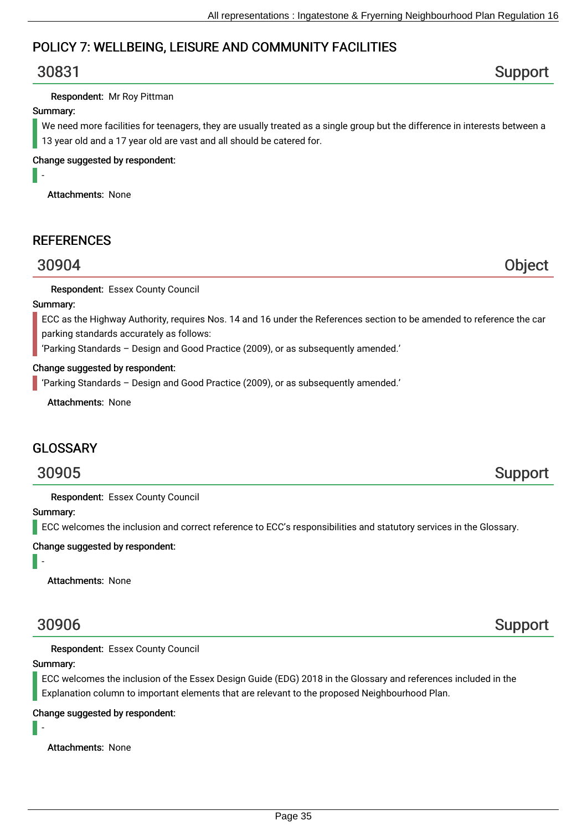## POLICY 7: WELLBEING, LEISURE AND COMMUNITY FACILITIES

# 30831 Support

#### Respondent: Mr Roy Pittman

#### Summary:

-

We need more facilities for teenagers, they are usually treated as a single group but the difference in interests between a 13 year old and a 17 year old are vast and all should be catered for.

#### Change suggested by respondent:

Attachments: None

## **REFERENCES**

# 30904 Object

Respondent: Essex County Council

#### Summary:

ECC as the Highway Authority, requires Nos. 14 and 16 under the References section to be amended to reference the car parking standards accurately as follows:

'Parking Standards – Design and Good Practice (2009), or as subsequently amended.'

#### Change suggested by respondent:

'Parking Standards – Design and Good Practice (2009), or as subsequently amended.'

Attachments: None

## **GLOSSARY**

# 30905 Support

Respondent: Essex County Council

Summary:

-

**ECC** welcomes the inclusion and correct reference to ECC's responsibilities and statutory services in the Glossary.

Change suggested by respondent:

Attachments: None

Respondent: Essex County Council

#### Summary:

-

ECC welcomes the inclusion of the Essex Design Guide (EDG) 2018 in the Glossary and references included in the Explanation column to important elements that are relevant to the proposed Neighbourhood Plan.

Change suggested by respondent:



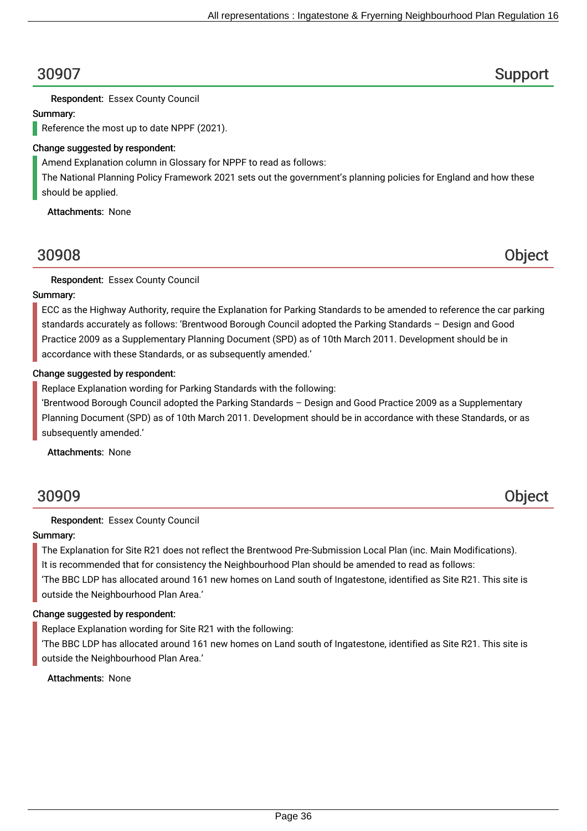30907 Support

Respondent: Essex County Council

#### Summary:

Reference the most up to date NPPF (2021).

#### Change suggested by respondent:

Amend Explanation column in Glossary for NPPF to read as follows:

The National Planning Policy Framework 2021 sets out the government's planning policies for England and how these should be applied.

Attachments: None

# 30908 Object

Respondent: Essex County Council

### Summary:

ECC as the Highway Authority, require the Explanation for Parking Standards to be amended to reference the car parking standards accurately as follows: 'Brentwood Borough Council adopted the Parking Standards – Design and Good Practice 2009 as a Supplementary Planning Document (SPD) as of 10th March 2011. Development should be in accordance with these Standards, or as subsequently amended.'

#### Change suggested by respondent:

Replace Explanation wording for Parking Standards with the following:

'Brentwood Borough Council adopted the Parking Standards – Design and Good Practice 2009 as a Supplementary Planning Document (SPD) as of 10th March 2011. Development should be in accordance with these Standards, or as subsequently amended.'

Attachments: None

# 30909 Object

### Respondent: Essex County Council

### Summary:

The Explanation for Site R21 does not reflect the Brentwood Pre-Submission Local Plan (inc. Main Modifications).

It is recommended that for consistency the Neighbourhood Plan should be amended to read as follows:

'The BBC LDP has allocated around 161 new homes on Land south of Ingatestone, identified as Site R21. This site is outside the Neighbourhood Plan Area.'

#### Change suggested by respondent:

Replace Explanation wording for Site R21 with the following:

'The BBC LDP has allocated around 161 new homes on Land south of Ingatestone, identified as Site R21. This site is outside the Neighbourhood Plan Area.'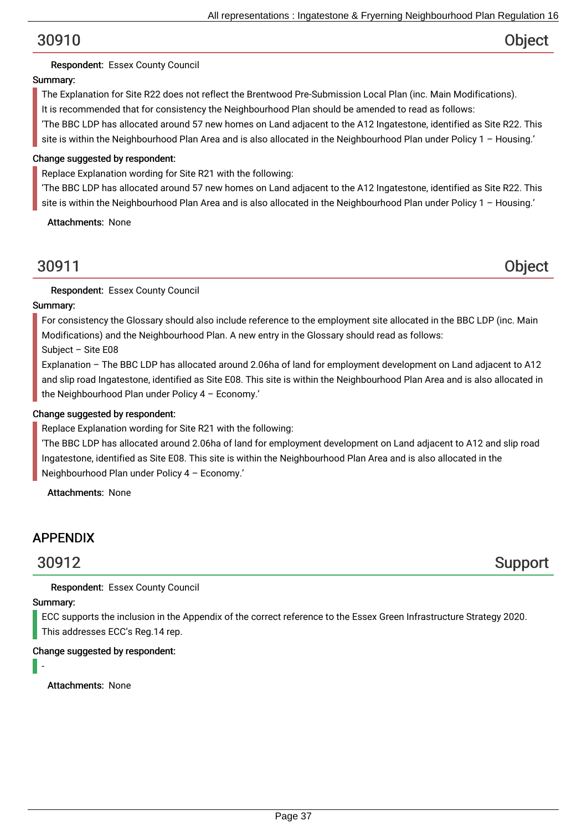## Respondent: Essex County Council

## Summary:

The Explanation for Site R22 does not reflect the Brentwood Pre-Submission Local Plan (inc. Main Modifications). It is recommended that for consistency the Neighbourhood Plan should be amended to read as follows:

'The BBC LDP has allocated around 57 new homes on Land adjacent to the A12 Ingatestone, identified as Site R22. This site is within the Neighbourhood Plan Area and is also allocated in the Neighbourhood Plan under Policy 1 – Housing.'

### Change suggested by respondent:

Replace Explanation wording for Site R21 with the following:

'The BBC LDP has allocated around 57 new homes on Land adjacent to the A12 Ingatestone, identified as Site R22. This site is within the Neighbourhood Plan Area and is also allocated in the Neighbourhood Plan under Policy 1 – Housing.'

Attachments: None

## 30911 Object

Respondent: Essex County Council

### Summary:

For consistency the Glossary should also include reference to the employment site allocated in the BBC LDP (inc. Main Modifications) and the Neighbourhood Plan. A new entry in the Glossary should read as follows:

Subject – Site E08

Explanation – The BBC LDP has allocated around 2.06ha of land for employment development on Land adjacent to A12 and slip road Ingatestone, identified as Site E08. This site is within the Neighbourhood Plan Area and is also allocated in the Neighbourhood Plan under Policy 4 – Economy.'

### Change suggested by respondent:

Replace Explanation wording for Site R21 with the following:

'The BBC LDP has allocated around 2.06ha of land for employment development on Land adjacent to A12 and slip road Ingatestone, identified as Site E08. This site is within the Neighbourhood Plan Area and is also allocated in the Neighbourhood Plan under Policy 4 – Economy.'

Attachments: None

## APPENDIX

30912 Support

Respondent: Essex County Council

### Summary:

ECC supports the inclusion in the Appendix of the correct reference to the Essex Green Infrastructure Strategy 2020. This addresses ECC's Reg.14 rep.

### Change suggested by respondent:

-